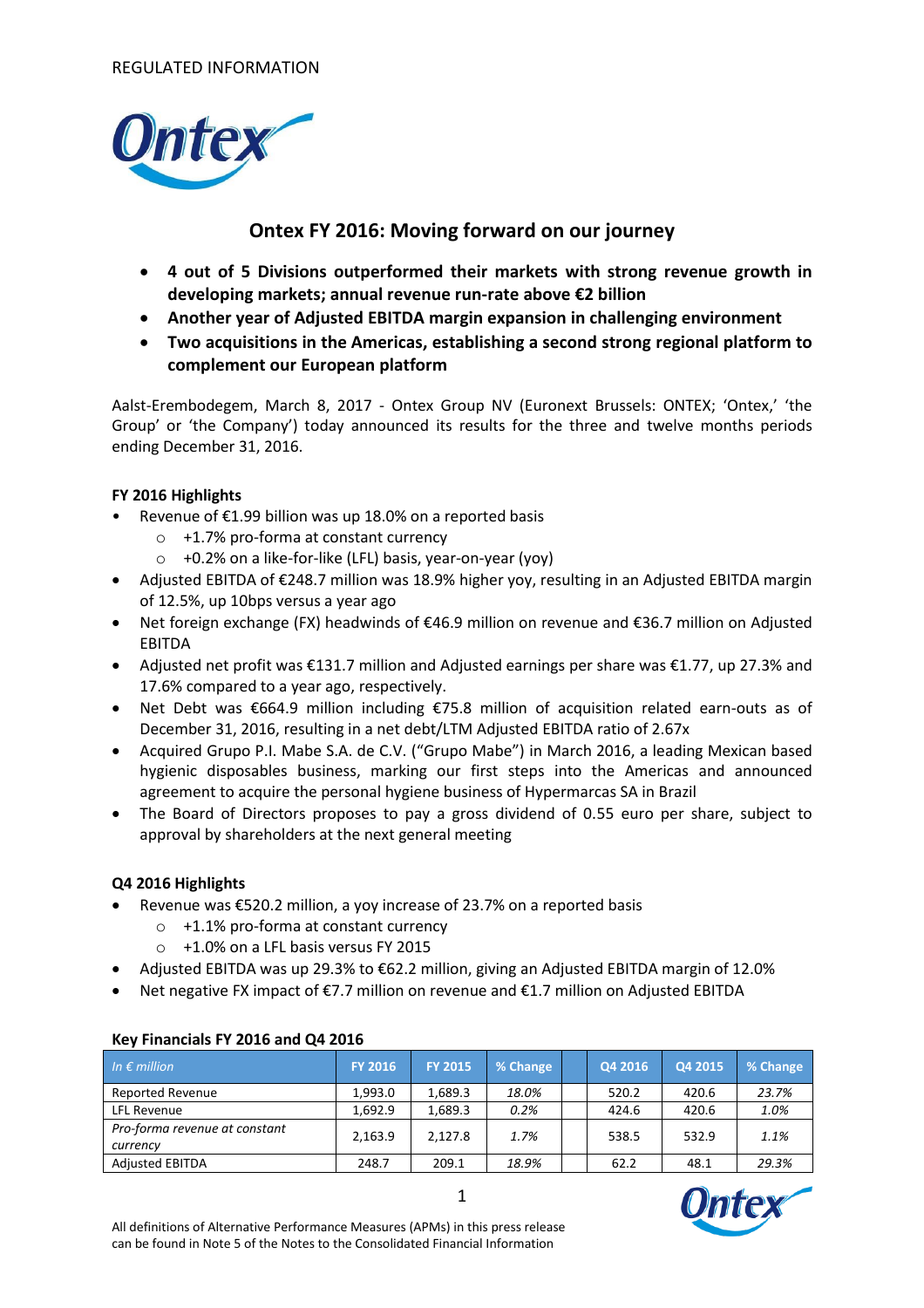

# **Ontex FY 2016: Moving forward on our journey**

- **4 out of 5 Divisions outperformed their markets with strong revenue growth in developing markets; annual revenue run-rate above €2 billion**
- **Another year of Adjusted EBITDA margin expansion in challenging environment**
- **Two acquisitions in the Americas, establishing a second strong regional platform to complement our European platform**

Aalst-Erembodegem, March 8, 2017 - Ontex Group NV (Euronext Brussels: ONTEX; 'Ontex,' 'the Group' or 'the Company') today announced its results for the three and twelve months periods ending December 31, 2016.

## **FY 2016 Highlights**

- Revenue of  $£1.99$  billion was up 18.0% on a reported basis
	- o +1.7% pro-forma at constant currency
	- o +0.2% on a like-for-like (LFL) basis, year-on-year (yoy)
- Adjusted EBITDA of €248.7 million was 18.9% higher yoy, resulting in an Adjusted EBITDA margin of 12.5%, up 10bps versus a year ago
- Net foreign exchange (FX) headwinds of €46.9 million on revenue and €36.7 million on Adjusted EBITDA
- Adjusted net profit was €131.7 million and Adjusted earnings per share was €1.77, up 27.3% and 17.6% compared to a year ago, respectively.
- Net Debt was €664.9 million including €75.8 million of acquisition related earn-outs as of December 31, 2016, resulting in a net debt/LTM Adjusted EBITDA ratio of 2.67x
- Acquired Grupo P.I. Mabe S.A. de C.V. ("Grupo Mabe") in March 2016, a leading Mexican based hygienic disposables business, marking our first steps into the Americas and announced agreement to acquire the personal hygiene business of Hypermarcas SA in Brazil
- The Board of Directors proposes to pay a gross dividend of 0.55 euro per share, subject to approval by shareholders at the next general meeting

## **Q4 2016 Highlights**

- Revenue was  $\epsilon$ 520.2 million, a yoy increase of 23.7% on a reported basis
	- o +1.1% pro-forma at constant currency
	- o +1.0% on a LFL basis versus FY 2015
- Adjusted EBITDA was up 29.3% to €62.2 million, giving an Adjusted EBITDA margin of 12.0%
- Net negative FX impact of €7.7 million on revenue and €1.7 million on Adjusted EBITDA

| In $\epsilon$ million                     | <b>FY 2016</b> | <b>FY 2015</b> | % Change | Q4 2016 | Q4 2015 | % Change |
|-------------------------------------------|----------------|----------------|----------|---------|---------|----------|
| <b>Reported Revenue</b>                   | 1.993.0        | 1.689.3        | 18.0%    | 520.2   | 420.6   | 23.7%    |
| LFL Revenue                               | 1.692.9        | 1.689.3        | 0.2%     | 424.6   | 420.6   | 1.0%     |
| Pro-forma revenue at constant<br>currency | 2,163.9        | 2,127.8        | 1.7%     | 538.5   | 532.9   | 1.1%     |
| <b>Adjusted EBITDA</b>                    | 248.7          | 209.1          | 18.9%    | 62.2    | 48.1    | 29.3%    |

## **Key Financials FY 2016 and Q4 2016**

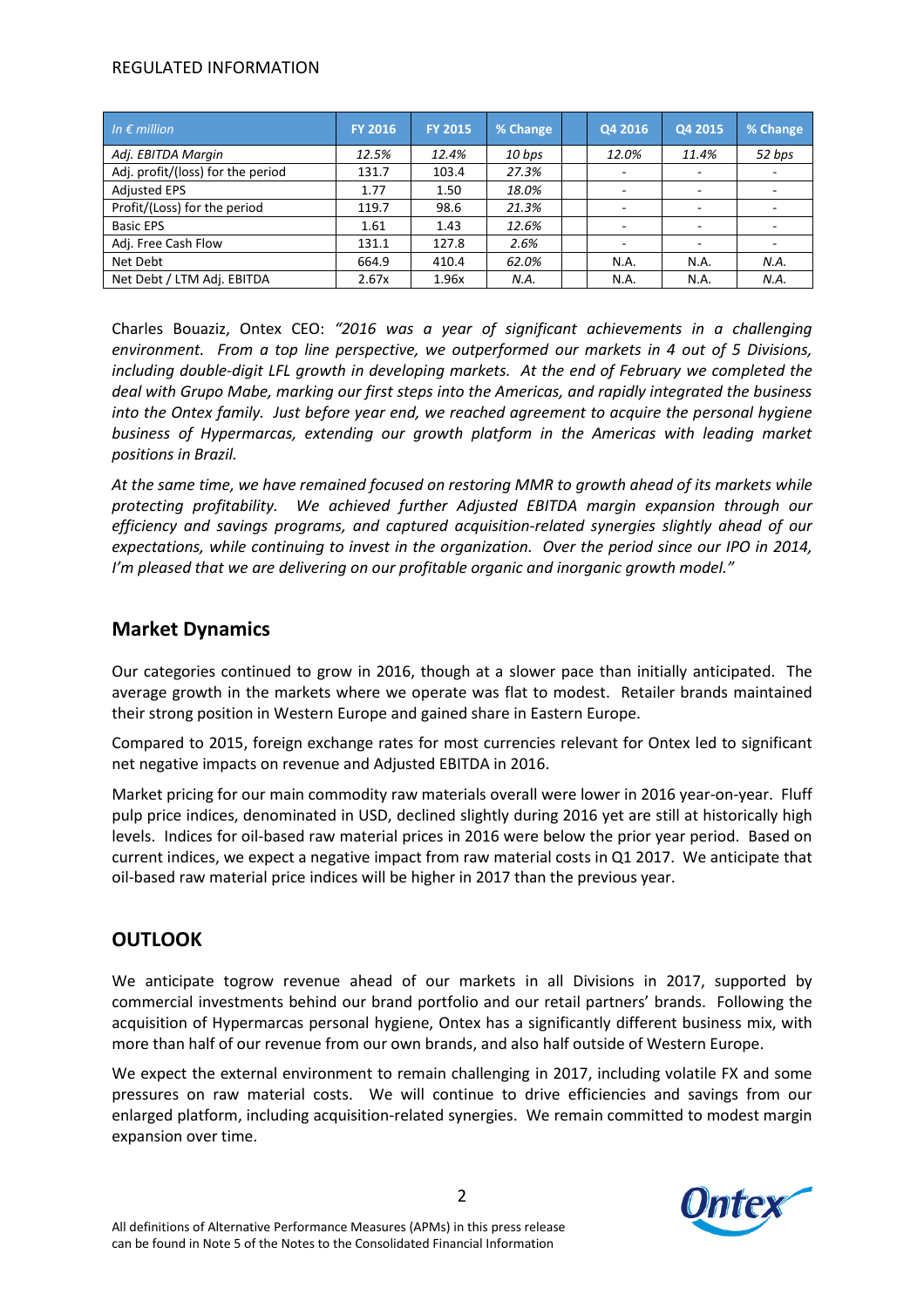## REGULATED INFORMATION

| In $\epsilon$ million             | <b>FY 2016</b> | <b>FY 2015</b> | % Change | Q4 2016 | Q4 2015                  | % Change |
|-----------------------------------|----------------|----------------|----------|---------|--------------------------|----------|
| Adj. EBITDA Margin                | 12.5%          | 12.4%          | 10 bps   | 12.0%   | 11.4%                    | 52 bps   |
| Adj. profit/(loss) for the period | 131.7          | 103.4          | 27.3%    |         | $\overline{\phantom{a}}$ |          |
| <b>Adjusted EPS</b>               | 1.77           | 1.50           | 18.0%    |         | $\overline{\phantom{a}}$ |          |
| Profit/(Loss) for the period      | 119.7          | 98.6           | 21.3%    | -       | -                        |          |
| <b>Basic EPS</b>                  | 1.61           | 1.43           | 12.6%    |         | $\overline{a}$           |          |
| Adj. Free Cash Flow               | 131.1          | 127.8          | 2.6%     |         | $\overline{\phantom{a}}$ |          |
| Net Debt                          | 664.9          | 410.4          | 62.0%    | N.A.    | N.A.                     | N.A.     |
| Net Debt / LTM Adj. EBITDA        | 2.67x          | 1.96x          | N.A.     | N.A.    | N.A.                     | N.A.     |

Charles Bouaziz, Ontex CEO: *"2016 was a year of significant achievements in a challenging environment. From a top line perspective, we outperformed our markets in 4 out of 5 Divisions, including double-digit LFL growth in developing markets. At the end of February we completed the deal with Grupo Mabe, marking our first steps into the Americas, and rapidly integrated the business into the Ontex family. Just before year end, we reached agreement to acquire the personal hygiene business of Hypermarcas, extending our growth platform in the Americas with leading market positions in Brazil.*

*At the same time, we have remained focused on restoring MMR to growth ahead of its markets while protecting profitability. We achieved further Adjusted EBITDA margin expansion through our efficiency and savings programs, and captured acquisition-related synergies slightly ahead of our expectations, while continuing to invest in the organization. Over the period since our IPO in 2014, I'm pleased that we are delivering on our profitable organic and inorganic growth model."* 

# **Market Dynamics**

Our categories continued to grow in 2016, though at a slower pace than initially anticipated. The average growth in the markets where we operate was flat to modest. Retailer brands maintained their strong position in Western Europe and gained share in Eastern Europe.

Compared to 2015, foreign exchange rates for most currencies relevant for Ontex led to significant net negative impacts on revenue and Adjusted EBITDA in 2016.

Market pricing for our main commodity raw materials overall were lower in 2016 year-on-year. Fluff pulp price indices, denominated in USD, declined slightly during 2016 yet are still at historically high levels. Indices for oil-based raw material prices in 2016 were below the prior year period. Based on current indices, we expect a negative impact from raw material costs in Q1 2017. We anticipate that oil-based raw material price indices will be higher in 2017 than the previous year.

# **OUTLOOK**

We anticipate togrow revenue ahead of our markets in all Divisions in 2017, supported by commercial investments behind our brand portfolio and our retail partners' brands. Following the acquisition of Hypermarcas personal hygiene, Ontex has a significantly different business mix, with more than half of our revenue from our own brands, and also half outside of Western Europe.

We expect the external environment to remain challenging in 2017, including volatile FX and some pressures on raw material costs. We will continue to drive efficiencies and savings from our enlarged platform, including acquisition-related synergies. We remain committed to modest margin expansion over time.

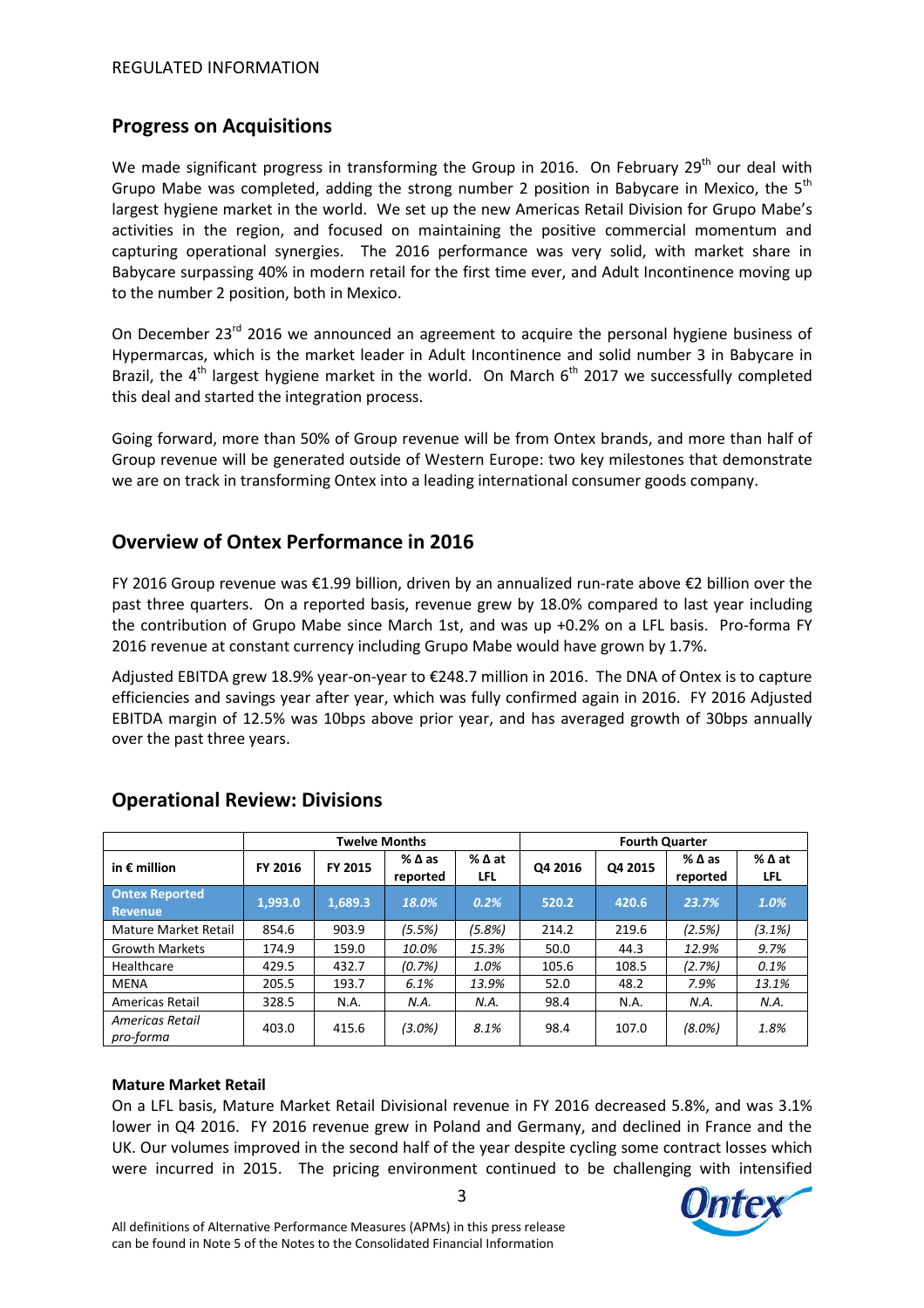# **Progress on Acquisitions**

We made significant progress in transforming the Group in 2016. On February 29<sup>th</sup> our deal with Grupo Mabe was completed, adding the strong number 2 position in Babycare in Mexico, the  $5<sup>th</sup>$ largest hygiene market in the world. We set up the new Americas Retail Division for Grupo Mabe's activities in the region, and focused on maintaining the positive commercial momentum and capturing operational synergies. The 2016 performance was very solid, with market share in Babycare surpassing 40% in modern retail for the first time ever, and Adult Incontinence moving up to the number 2 position, both in Mexico.

On December 23<sup>rd</sup> 2016 we announced an agreement to acquire the personal hygiene business of Hypermarcas, which is the market leader in Adult Incontinence and solid number 3 in Babycare in Brazil, the  $4<sup>th</sup>$  largest hygiene market in the world. On March  $6<sup>th</sup>$  2017 we successfully completed this deal and started the integration process.

Going forward, more than 50% of Group revenue will be from Ontex brands, and more than half of Group revenue will be generated outside of Western Europe: two key milestones that demonstrate we are on track in transforming Ontex into a leading international consumer goods company.

# **Overview of Ontex Performance in 2016**

FY 2016 Group revenue was €1.99 billion, driven by an annualized run-rate above €2 billion over the past three quarters. On a reported basis, revenue grew by 18.0% compared to last year including the contribution of Grupo Mabe since March 1st, and was up +0.2% on a LFL basis. Pro-forma FY 2016 revenue at constant currency including Grupo Mabe would have grown by 1.7%.

Adjusted EBITDA grew 18.9% year-on-year to €248.7 million in 2016. The DNA of Ontex is to capture efficiencies and savings year after year, which was fully confirmed again in 2016. FY 2016 Adjusted EBITDA margin of 12.5% was 10bps above prior year, and has averaged growth of 30bps annually over the past three years.

|                                         | <b>Twelve Months</b> |         |                             |                        | <b>Fourth Quarter</b> |         |                                |                        |
|-----------------------------------------|----------------------|---------|-----------------------------|------------------------|-----------------------|---------|--------------------------------|------------------------|
| in $\epsilon$ million                   | FY 2016              | FY 2015 | $%$ $\Delta$ as<br>reported | $%$ $\Delta$ at<br>LFL | Q4 2016               | Q4 2015 | $%$ $\triangle$ as<br>reported | $%$ $\Delta$ at<br>LFL |
| <b>Ontex Reported</b><br><b>Revenue</b> | 1,993.0              | 1,689.3 | 18.0%                       | 0.2%                   | 520.2                 | 420.6   | 23.7%                          | 1.0%                   |
| Mature Market Retail                    | 854.6                | 903.9   | (5.5%)                      | (5.8%)                 | 214.2                 | 219.6   | (2.5%)                         | (3.1%)                 |
| <b>Growth Markets</b>                   | 174.9                | 159.0   | 10.0%                       | 15.3%                  | 50.0                  | 44.3    | 12.9%                          | 9.7%                   |
| Healthcare                              | 429.5                | 432.7   | (0.7%)                      | 1.0%                   | 105.6                 | 108.5   | (2.7%)                         | 0.1%                   |
| <b>MENA</b>                             | 205.5                | 193.7   | 6.1%                        | 13.9%                  | 52.0                  | 48.2    | 7.9%                           | 13.1%                  |
| Americas Retail                         | 328.5                | N.A.    | N.A.                        | N.A.                   | 98.4                  | N.A.    | N.A.                           | N.A.                   |
| <b>Americas Retail</b><br>pro-forma     | 403.0                | 415.6   | $(3.0\%)$                   | 8.1%                   | 98.4                  | 107.0   | $(8.0\%)$                      | 1.8%                   |

# **Operational Review: Divisions**

### **Mature Market Retail**

On a LFL basis, Mature Market Retail Divisional revenue in FY 2016 decreased 5.8%, and was 3.1% lower in Q4 2016. FY 2016 revenue grew in Poland and Germany, and declined in France and the UK. Our volumes improved in the second half of the year despite cycling some contract losses which were incurred in 2015. The pricing environment continued to be challenging with intensified

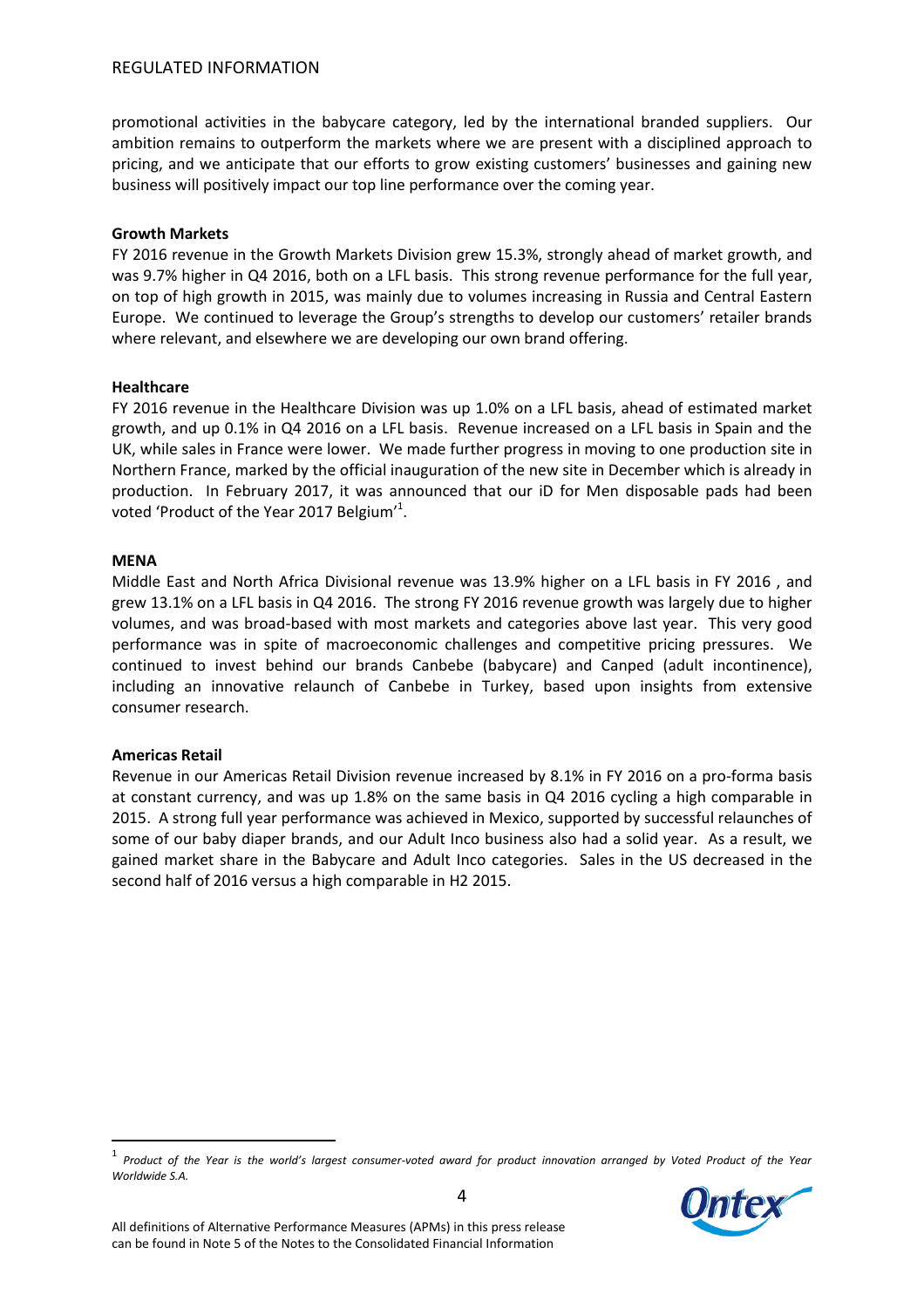### REGULATED INFORMATION

promotional activities in the babycare category, led by the international branded suppliers. Our ambition remains to outperform the markets where we are present with a disciplined approach to pricing, and we anticipate that our efforts to grow existing customers' businesses and gaining new business will positively impact our top line performance over the coming year.

### **Growth Markets**

FY 2016 revenue in the Growth Markets Division grew 15.3%, strongly ahead of market growth, and was 9.7% higher in Q4 2016, both on a LFL basis. This strong revenue performance for the full year, on top of high growth in 2015, was mainly due to volumes increasing in Russia and Central Eastern Europe. We continued to leverage the Group's strengths to develop our customers' retailer brands where relevant, and elsewhere we are developing our own brand offering.

### **Healthcare**

FY 2016 revenue in the Healthcare Division was up 1.0% on a LFL basis, ahead of estimated market growth, and up 0.1% in Q4 2016 on a LFL basis. Revenue increased on a LFL basis in Spain and the UK, while sales in France were lower. We made further progress in moving to one production site in Northern France, marked by the official inauguration of the new site in December which is already in production. In February 2017, it was announced that our iD for Men disposable pads had been voted 'Product of the Year 2017 Belgium'<sup>1</sup>.

### **MENA**

Middle East and North Africa Divisional revenue was 13.9% higher on a LFL basis in FY 2016 , and grew 13.1% on a LFL basis in Q4 2016. The strong FY 2016 revenue growth was largely due to higher volumes, and was broad-based with most markets and categories above last year. This very good performance was in spite of macroeconomic challenges and competitive pricing pressures. We continued to invest behind our brands Canbebe (babycare) and Canped (adult incontinence), including an innovative relaunch of Canbebe in Turkey, based upon insights from extensive consumer research.

### **Americas Retail**

 $\overline{a}$ 

Revenue in our Americas Retail Division revenue increased by 8.1% in FY 2016 on a pro-forma basis at constant currency, and was up 1.8% on the same basis in Q4 2016 cycling a high comparable in 2015. A strong full year performance was achieved in Mexico, supported by successful relaunches of some of our baby diaper brands, and our Adult Inco business also had a solid year. As a result, we gained market share in the Babycare and Adult Inco categories. Sales in the US decreased in the second half of 2016 versus a high comparable in H2 2015.

<sup>1</sup> *Product of the Year is the world's largest consumer-voted award for product innovation arranged by Voted Product of the Year Worldwide S.A.*

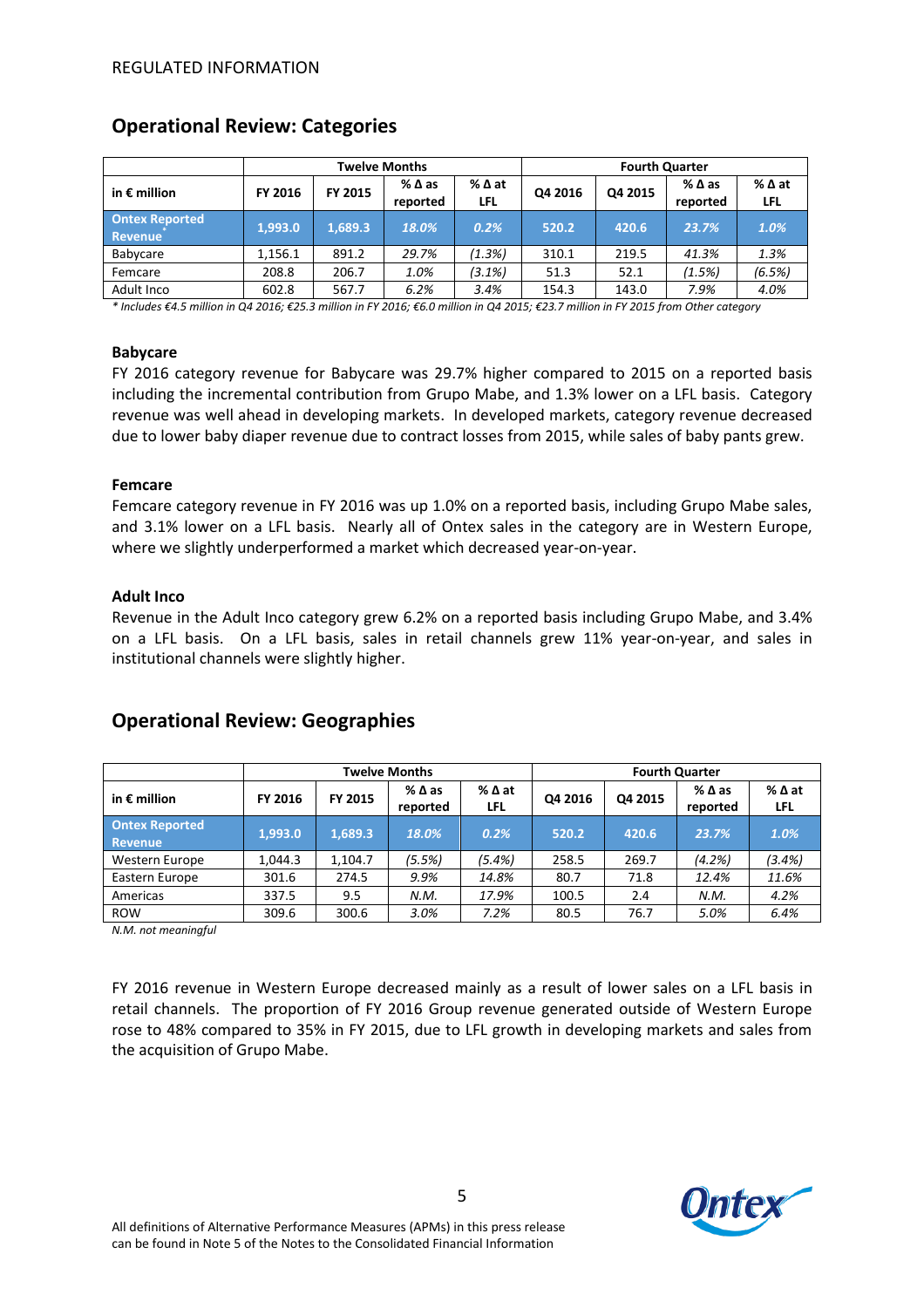|                                         | <b>Twelve Months</b> |         |                             |                               | <b>Fourth Quarter</b> |         |                  |                        |
|-----------------------------------------|----------------------|---------|-----------------------------|-------------------------------|-----------------------|---------|------------------|------------------------|
| in $\epsilon$ million                   | FY 2016              | FY 2015 | $%$ $\Delta$ as<br>reported | $%$ $\Delta$ at<br><b>LFL</b> | Q4 2016               | Q4 2015 | %∆as<br>reported | $%$ $\Delta$ at<br>LFL |
| <b>Ontex Reported</b><br><b>Revenue</b> | 1,993.0              | 1,689.3 | 18.0%                       | 0.2%                          | 520.2                 | 420.6   | 23.7%            | 1.0%                   |
| Babycare                                | 1.156.1              | 891.2   | 29.7%                       | (1.3%)                        | 310.1                 | 219.5   | 41.3%            | 1.3%                   |
| Femcare                                 | 208.8                | 206.7   | 1.0%                        | (3.1%)                        | 51.3                  | 52.1    | (1.5%)           | (6.5%)                 |
| Adult Inco                              | 602.8                | 567.7   | 6.2%                        | 3.4%                          | 154.3                 | 143.0   | 7.9%             | 4.0%                   |

## **Operational Review: Categories**

*\* Includes €4.5 million in Q4 2016; €25.3 million in FY 2016; €6.0 million in Q4 2015; €23.7 million in FY 2015 from Other category*

#### **Babycare**

FY 2016 category revenue for Babycare was 29.7% higher compared to 2015 on a reported basis including the incremental contribution from Grupo Mabe, and 1.3% lower on a LFL basis. Category revenue was well ahead in developing markets. In developed markets, category revenue decreased due to lower baby diaper revenue due to contract losses from 2015, while sales of baby pants grew.

### **Femcare**

Femcare category revenue in FY 2016 was up 1.0% on a reported basis, including Grupo Mabe sales, and 3.1% lower on a LFL basis. Nearly all of Ontex sales in the category are in Western Europe, where we slightly underperformed a market which decreased year-on-year.

#### **Adult Inco**

Revenue in the Adult Inco category grew 6.2% on a reported basis including Grupo Mabe, and 3.4% on a LFL basis. On a LFL basis, sales in retail channels grew 11% year-on-year, and sales in institutional channels were slightly higher.

|  | <b>Operational Review: Geographies</b> |  |
|--|----------------------------------------|--|
|--|----------------------------------------|--|

|                                         | <b>Twelve Months</b> |         |                             |                    | <b>Fourth Quarter</b> |         |                             |                               |
|-----------------------------------------|----------------------|---------|-----------------------------|--------------------|-----------------------|---------|-----------------------------|-------------------------------|
| in $\epsilon$ million                   | FY 2016              | FY 2015 | $%$ $\Delta$ as<br>reported | %∆at<br><b>LFL</b> | Q4 2016               | Q4 2015 | $%$ $\Delta$ as<br>reported | $%$ $\Delta$ at<br><b>LFL</b> |
| <b>Ontex Reported</b><br><b>Revenue</b> | 1.993.0              | 1.689.3 | 18.0%                       | 0.2%               | 520.2                 | 420.6   | 23.7%                       | 1.0%                          |
| Western Europe                          | 1.044.3              | 1,104.7 | (5.5%)                      | (5.4%)             | 258.5                 | 269.7   | (4.2%)                      | (3.4%)                        |
| Eastern Europe                          | 301.6                | 274.5   | 9.9%                        | 14.8%              | 80.7                  | 71.8    | 12.4%                       | 11.6%                         |
| Americas                                | 337.5                | 9.5     | N.M.                        | 17.9%              | 100.5                 | 2.4     | N.M.                        | 4.2%                          |
| <b>ROW</b>                              | 309.6                | 300.6   | 3.0%                        | 7.2%               | 80.5                  | 76.7    | 5.0%                        | 6.4%                          |

*N.M. not meaningful*

FY 2016 revenue in Western Europe decreased mainly as a result of lower sales on a LFL basis in retail channels. The proportion of FY 2016 Group revenue generated outside of Western Europe rose to 48% compared to 35% in FY 2015, due to LFL growth in developing markets and sales from the acquisition of Grupo Mabe.

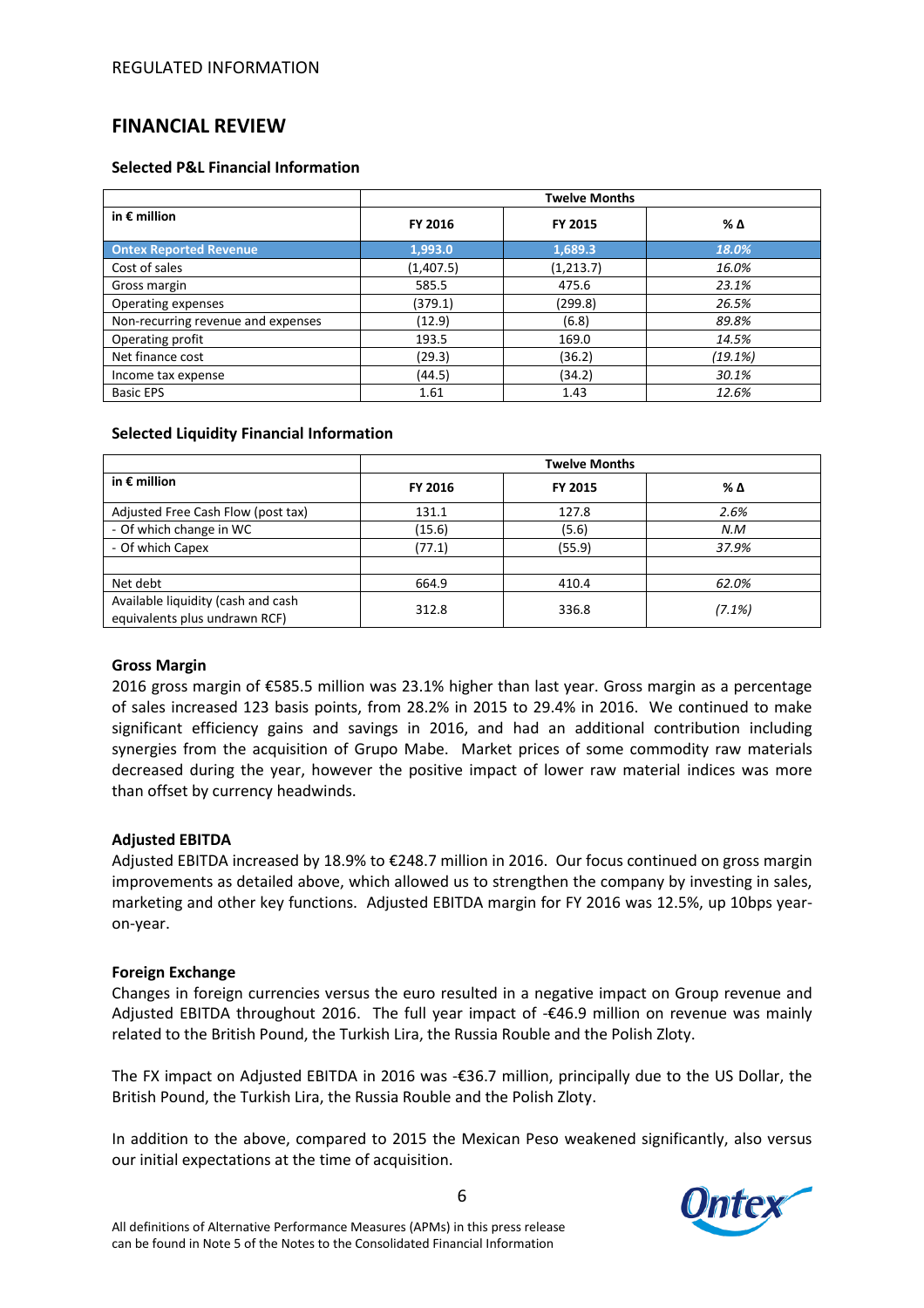# **FINANCIAL REVIEW**

### **Selected P&L Financial Information**

|                                    | <b>Twelve Months</b> |            |         |  |  |  |
|------------------------------------|----------------------|------------|---------|--|--|--|
| in $\epsilon$ million              | FY 2016              | FY 2015    | % Δ     |  |  |  |
| <b>Ontex Reported Revenue</b>      | 1,993.0              | 1,689.3    | 18.0%   |  |  |  |
| Cost of sales                      | (1,407.5)            | (1, 213.7) | 16.0%   |  |  |  |
| Gross margin                       | 585.5                | 475.6      | 23.1%   |  |  |  |
| Operating expenses                 | (379.1)              | (299.8)    | 26.5%   |  |  |  |
| Non-recurring revenue and expenses | (12.9)               | (6.8)      | 89.8%   |  |  |  |
| Operating profit                   | 193.5                | 169.0      | 14.5%   |  |  |  |
| Net finance cost                   | (29.3)               | (36.2)     | (19.1%) |  |  |  |
| Income tax expense                 | (44.5)               | (34.2)     | 30.1%   |  |  |  |
| <b>Basic EPS</b>                   | 1.61                 | 1.43       | 12.6%   |  |  |  |

### **Selected Liquidity Financial Information**

|                                                                     | <b>Twelve Months</b> |         |           |  |  |  |
|---------------------------------------------------------------------|----------------------|---------|-----------|--|--|--|
| in $\epsilon$ million                                               | FY 2016              | FY 2015 | % Δ       |  |  |  |
| Adjusted Free Cash Flow (post tax)                                  | 131.1                | 127.8   | 2.6%      |  |  |  |
| - Of which change in WC                                             | (15.6)               | (5.6)   | N.M       |  |  |  |
| - Of which Capex                                                    | (77.1)               | (55.9)  | 37.9%     |  |  |  |
|                                                                     |                      |         |           |  |  |  |
| Net debt                                                            | 664.9                | 410.4   | 62.0%     |  |  |  |
| Available liquidity (cash and cash<br>equivalents plus undrawn RCF) | 312.8                | 336.8   | $(7.1\%)$ |  |  |  |

## **Gross Margin**

2016 gross margin of €585.5 million was 23.1% higher than last year. Gross margin as a percentage of sales increased 123 basis points, from 28.2% in 2015 to 29.4% in 2016. We continued to make significant efficiency gains and savings in 2016, and had an additional contribution including synergies from the acquisition of Grupo Mabe. Market prices of some commodity raw materials decreased during the year, however the positive impact of lower raw material indices was more than offset by currency headwinds.

## **Adjusted EBITDA**

Adjusted EBITDA increased by 18.9% to €248.7 million in 2016. Our focus continued on gross margin improvements as detailed above, which allowed us to strengthen the company by investing in sales, marketing and other key functions. Adjusted EBITDA margin for FY 2016 was 12.5%, up 10bps yearon-year.

## **Foreign Exchange**

Changes in foreign currencies versus the euro resulted in a negative impact on Group revenue and Adjusted EBITDA throughout 2016. The full year impact of -€46.9 million on revenue was mainly related to the British Pound, the Turkish Lira, the Russia Rouble and the Polish Zloty.

The FX impact on Adjusted EBITDA in 2016 was -€36.7 million, principally due to the US Dollar, the British Pound, the Turkish Lira, the Russia Rouble and the Polish Zloty.

In addition to the above, compared to 2015 the Mexican Peso weakened significantly, also versus our initial expectations at the time of acquisition.

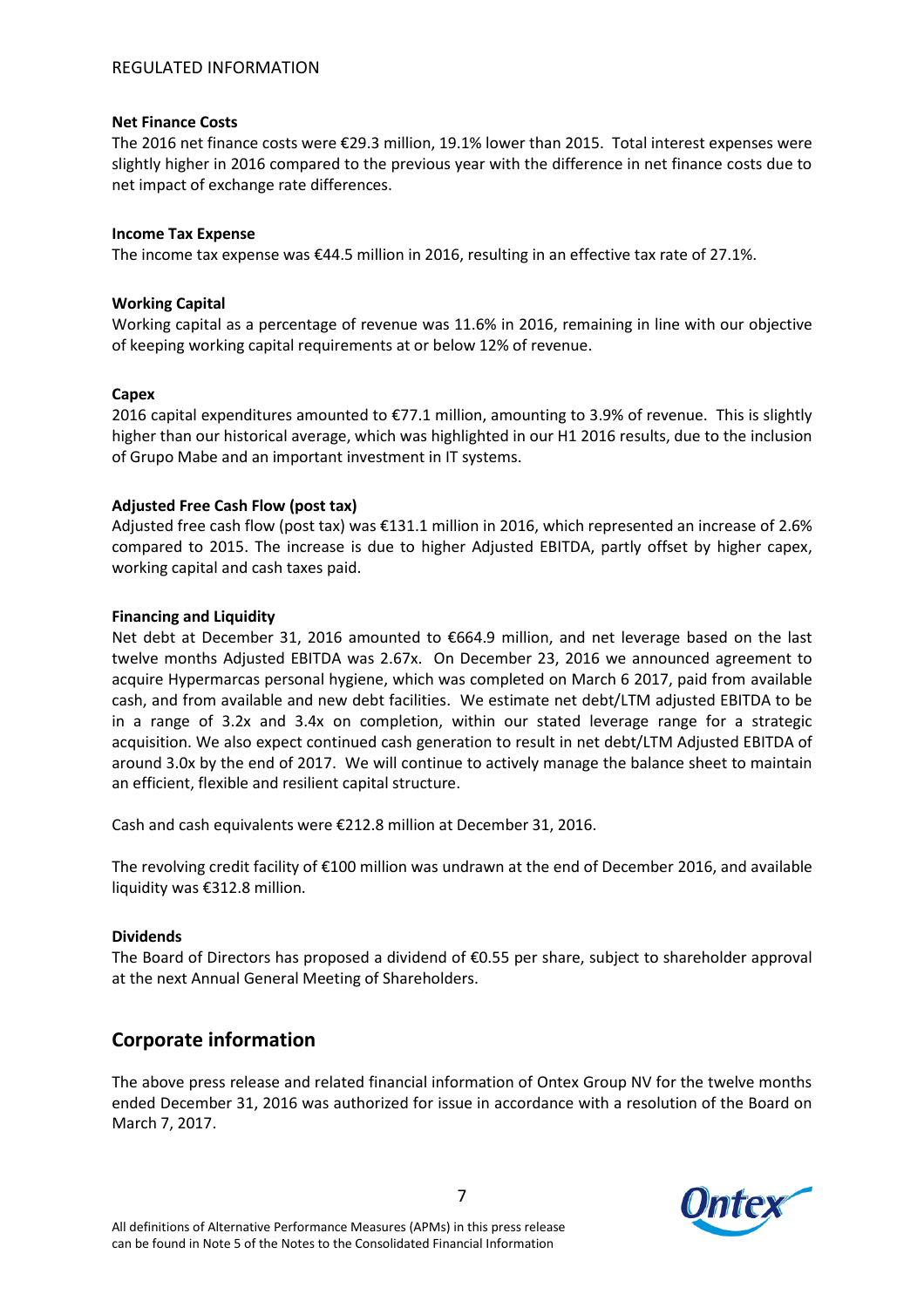### **Net Finance Costs**

The 2016 net finance costs were €29.3 million, 19.1% lower than 2015. Total interest expenses were slightly higher in 2016 compared to the previous year with the difference in net finance costs due to net impact of exchange rate differences.

### **Income Tax Expense**

The income tax expense was €44.5 million in 2016, resulting in an effective tax rate of 27.1%.

## **Working Capital**

Working capital as a percentage of revenue was 11.6% in 2016, remaining in line with our objective of keeping working capital requirements at or below 12% of revenue.

## **Capex**

2016 capital expenditures amounted to €77.1 million, amounting to 3.9% of revenue. This is slightly higher than our historical average, which was highlighted in our H1 2016 results, due to the inclusion of Grupo Mabe and an important investment in IT systems.

## **Adjusted Free Cash Flow (post tax)**

Adjusted free cash flow (post tax) was €131.1 million in 2016, which represented an increase of 2.6% compared to 2015. The increase is due to higher Adjusted EBITDA, partly offset by higher capex, working capital and cash taxes paid.

### **Financing and Liquidity**

Net debt at December 31, 2016 amounted to €664.9 million, and net leverage based on the last twelve months Adjusted EBITDA was 2.67x. On December 23, 2016 we announced agreement to acquire Hypermarcas personal hygiene, which was completed on March 6 2017, paid from available cash, and from available and new debt facilities. We estimate net debt/LTM adjusted EBITDA to be in a range of 3.2x and 3.4x on completion, within our stated leverage range for a strategic acquisition. We also expect continued cash generation to result in net debt/LTM Adjusted EBITDA of around 3.0x by the end of 2017. We will continue to actively manage the balance sheet to maintain an efficient, flexible and resilient capital structure.

Cash and cash equivalents were €212.8 million at December 31, 2016.

The revolving credit facility of €100 million was undrawn at the end of December 2016, and available liquidity was €312.8 million.

## **Dividends**

The Board of Directors has proposed a dividend of €0.55 per share, subject to shareholder approval at the next Annual General Meeting of Shareholders.

# **Corporate information**

The above press release and related financial information of Ontex Group NV for the twelve months ended December 31, 2016 was authorized for issue in accordance with a resolution of the Board on March 7, 2017.

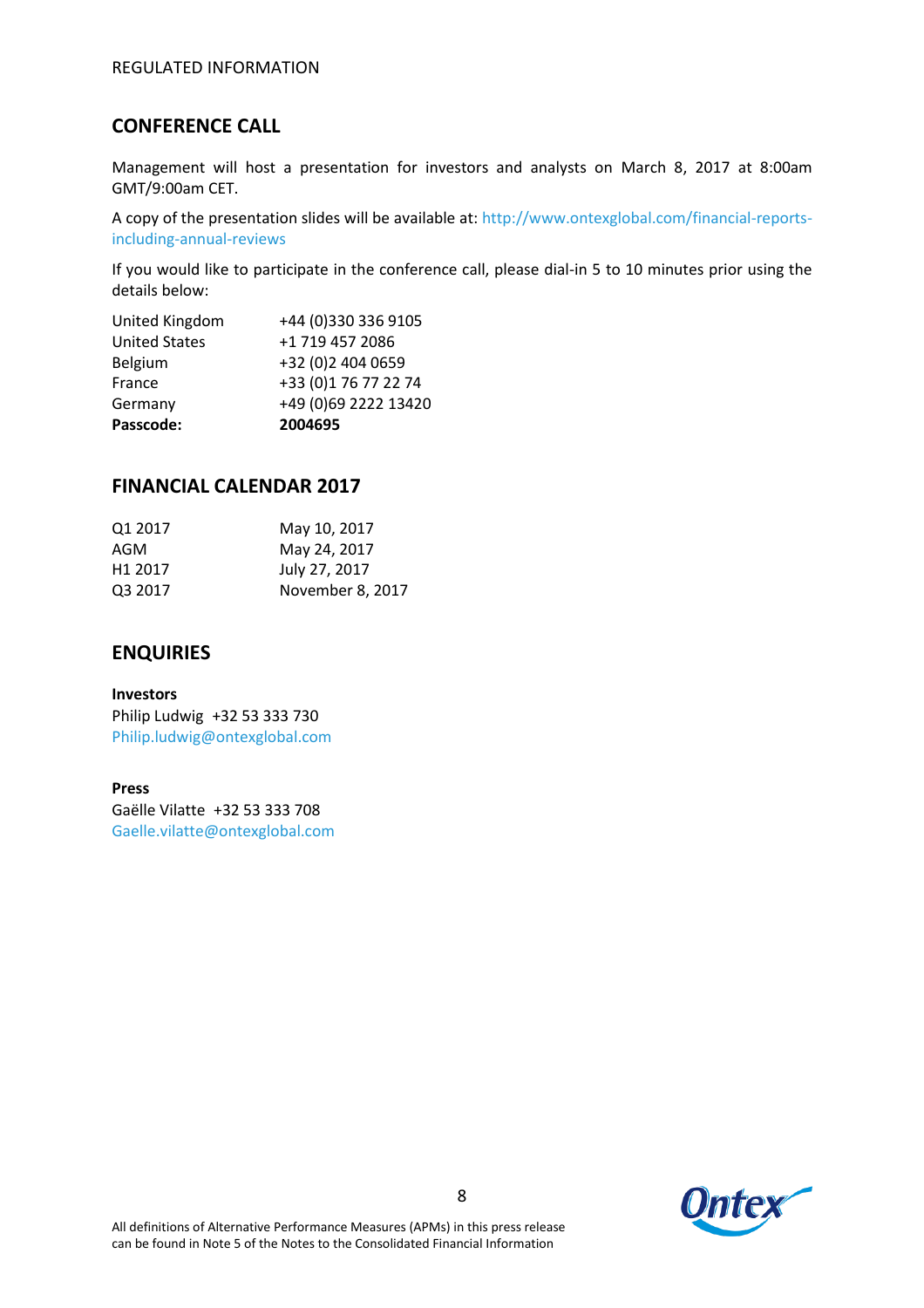# **CONFERENCE CALL**

Management will host a presentation for investors and analysts on March 8, 2017 at 8:00am GMT/9:00am CET.

A copy of the presentation slides will be available at: http://www.ontexglobal.com/financial-reportsincluding-annual-reviews

If you would like to participate in the conference call, please dial-in 5 to 10 minutes prior using the details below:

| Passcode:            | 2004695              |
|----------------------|----------------------|
| Germany              | +49 (0)69 2222 13420 |
| France               | +33 (0)1 76 77 22 74 |
| Belgium              | +32 (0)2 404 0659    |
| <b>United States</b> | +1 719 457 2086      |
| United Kingdom       | +44 (0)330 336 9105  |

# **FINANCIAL CALENDAR 2017**

| Q1 2017             | May 10, 2017     |
|---------------------|------------------|
| AGM                 | May 24, 2017     |
| H <sub>1</sub> 2017 | July 27, 2017    |
| Q3 2017             | November 8, 2017 |
|                     |                  |

## **ENQUIRIES**

**Investors** Philip Ludwig +32 53 333 730 Philip.ludwig@ontexglobal.com

### **Press**

Gaëlle Vilatte +32 53 333 708 Gaelle.vilatte@ontexglobal.com

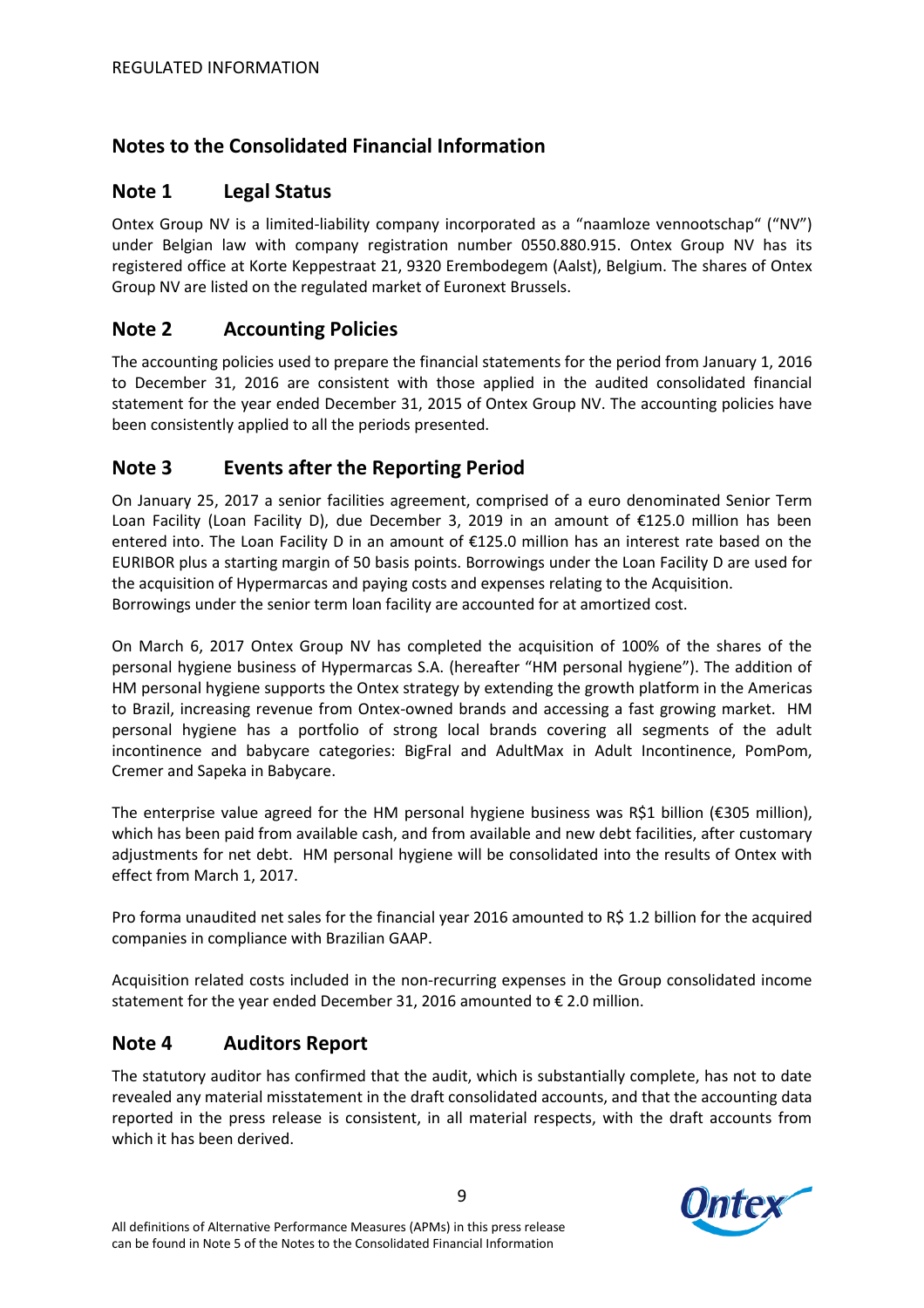# **Notes to the Consolidated Financial Information**

# **Note 1 Legal Status**

Ontex Group NV is a limited-liability company incorporated as a "naamloze vennootschap" ("NV") under Belgian law with company registration number 0550.880.915. Ontex Group NV has its registered office at Korte Keppestraat 21, 9320 Erembodegem (Aalst), Belgium. The shares of Ontex Group NV are listed on the regulated market of Euronext Brussels.

# **Note 2 Accounting Policies**

The accounting policies used to prepare the financial statements for the period from January 1, 2016 to December 31, 2016 are consistent with those applied in the audited consolidated financial statement for the year ended December 31, 2015 of Ontex Group NV. The accounting policies have been consistently applied to all the periods presented.

# **Note 3 Events after the Reporting Period**

On January 25, 2017 a senior facilities agreement, comprised of a euro denominated Senior Term Loan Facility (Loan Facility D), due December 3, 2019 in an amount of €125.0 million has been entered into. The Loan Facility D in an amount of €125.0 million has an interest rate based on the EURIBOR plus a starting margin of 50 basis points. Borrowings under the Loan Facility D are used for the acquisition of Hypermarcas and paying costs and expenses relating to the Acquisition. Borrowings under the senior term loan facility are accounted for at amortized cost.

On March 6, 2017 Ontex Group NV has completed the acquisition of 100% of the shares of the personal hygiene business of Hypermarcas S.A. (hereafter "HM personal hygiene"). The addition of HM personal hygiene supports the Ontex strategy by extending the growth platform in the Americas to Brazil, increasing revenue from Ontex-owned brands and accessing a fast growing market. HM personal hygiene has a portfolio of strong local brands covering all segments of the adult incontinence and babycare categories: BigFral and AdultMax in Adult Incontinence, PomPom, Cremer and Sapeka in Babycare.

The enterprise value agreed for the HM personal hygiene business was R\$1 billion ( $\epsilon$ 305 million), which has been paid from available cash, and from available and new debt facilities, after customary adjustments for net debt. HM personal hygiene will be consolidated into the results of Ontex with effect from March 1, 2017.

Pro forma unaudited net sales for the financial year 2016 amounted to R\$ 1.2 billion for the acquired companies in compliance with Brazilian GAAP.

Acquisition related costs included in the non-recurring expenses in the Group consolidated income statement for the year ended December 31, 2016 amounted to € 2.0 million.

# **Note 4 Auditors Report**

The statutory auditor has confirmed that the audit, which is substantially complete, has not to date revealed any material misstatement in the draft consolidated accounts, and that the accounting data reported in the press release is consistent, in all material respects, with the draft accounts from which it has been derived.

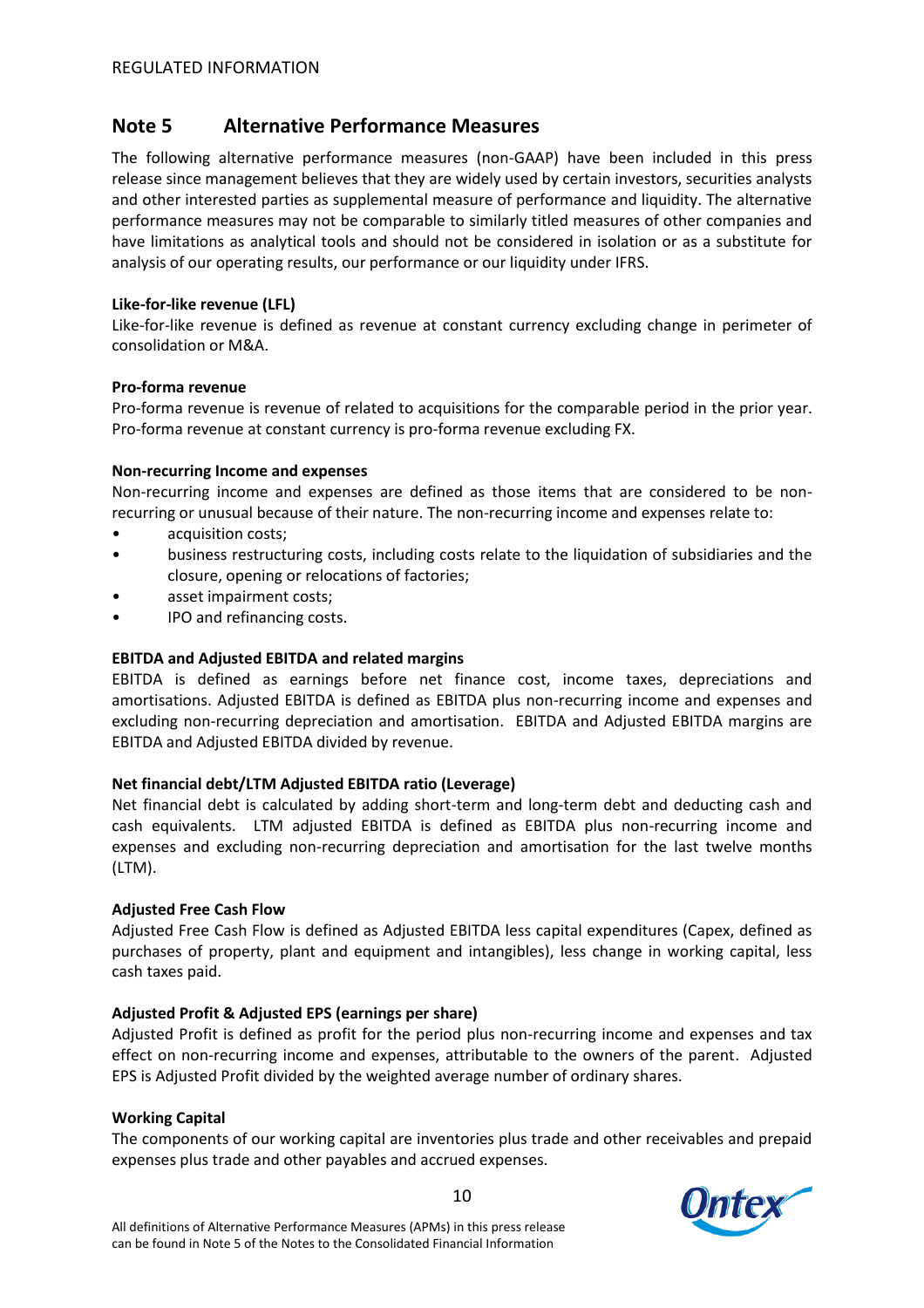# **Note 5 Alternative Performance Measures**

The following alternative performance measures (non-GAAP) have been included in this press release since management believes that they are widely used by certain investors, securities analysts and other interested parties as supplemental measure of performance and liquidity. The alternative performance measures may not be comparable to similarly titled measures of other companies and have limitations as analytical tools and should not be considered in isolation or as a substitute for analysis of our operating results, our performance or our liquidity under IFRS.

### **Like-for-like revenue (LFL)**

Like-for-like revenue is defined as revenue at constant currency excluding change in perimeter of consolidation or M&A.

### **Pro-forma revenue**

Pro-forma revenue is revenue of related to acquisitions for the comparable period in the prior year. Pro-forma revenue at constant currency is pro-forma revenue excluding FX.

### **Non-recurring Income and expenses**

Non-recurring income and expenses are defined as those items that are considered to be nonrecurring or unusual because of their nature. The non-recurring income and expenses relate to:

- acquisition costs;
- business restructuring costs, including costs relate to the liquidation of subsidiaries and the closure, opening or relocations of factories;
- asset impairment costs;
- IPO and refinancing costs.

### **EBITDA and Adjusted EBITDA and related margins**

EBITDA is defined as earnings before net finance cost, income taxes, depreciations and amortisations. Adjusted EBITDA is defined as EBITDA plus non-recurring income and expenses and excluding non-recurring depreciation and amortisation. EBITDA and Adjusted EBITDA margins are EBITDA and Adjusted EBITDA divided by revenue.

## **Net financial debt/LTM Adjusted EBITDA ratio (Leverage)**

Net financial debt is calculated by adding short-term and long-term debt and deducting cash and cash equivalents. LTM adjusted EBITDA is defined as EBITDA plus non-recurring income and expenses and excluding non-recurring depreciation and amortisation for the last twelve months (LTM).

### **Adjusted Free Cash Flow**

Adjusted Free Cash Flow is defined as Adjusted EBITDA less capital expenditures (Capex, defined as purchases of property, plant and equipment and intangibles), less change in working capital, less cash taxes paid.

## **Adjusted Profit & Adjusted EPS (earnings per share)**

Adjusted Profit is defined as profit for the period plus non-recurring income and expenses and tax effect on non-recurring income and expenses, attributable to the owners of the parent. Adjusted EPS is Adjusted Profit divided by the weighted average number of ordinary shares.

### **Working Capital**

The components of our working capital are inventories plus trade and other receivables and prepaid expenses plus trade and other payables and accrued expenses.

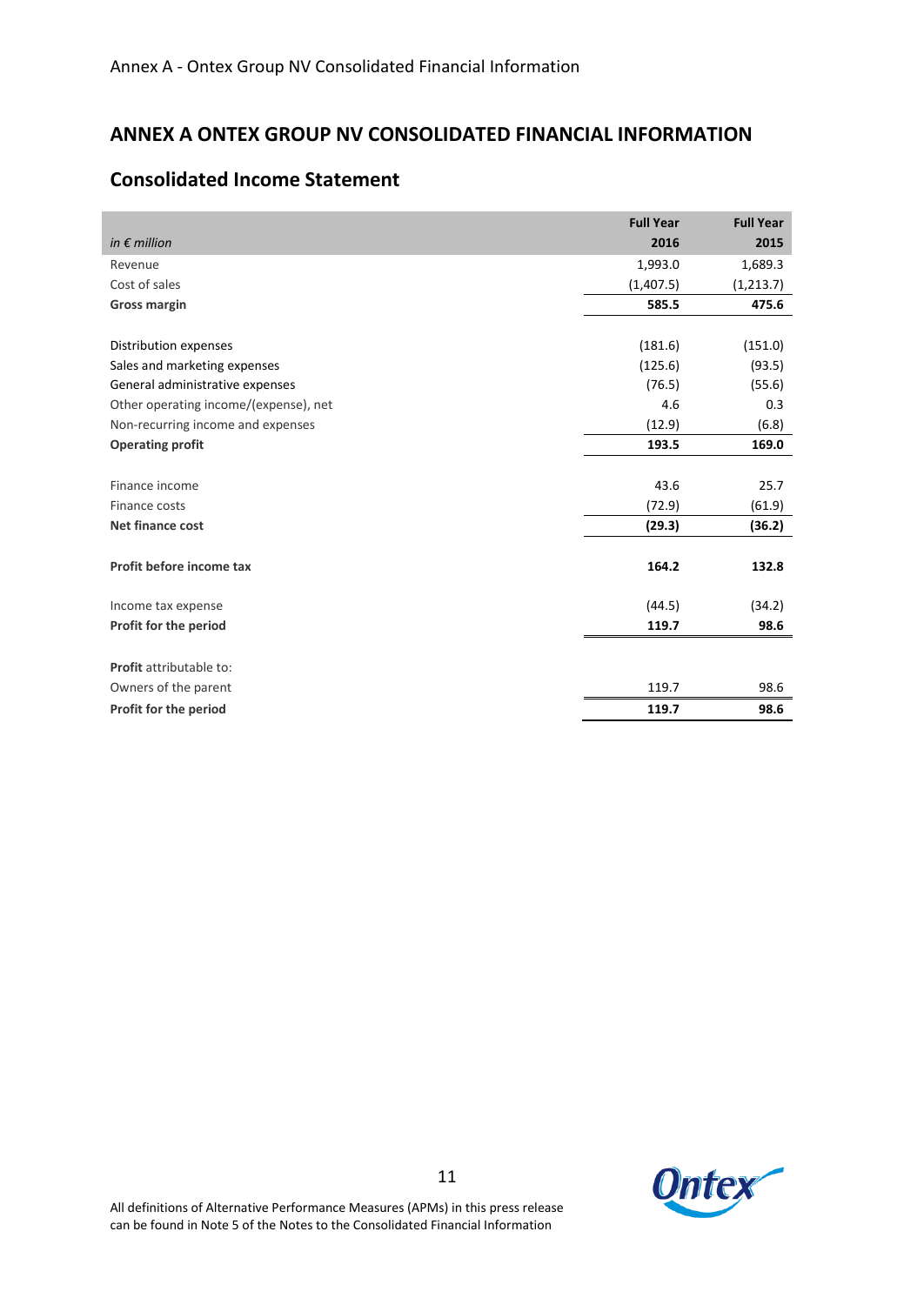# **ANNEX A ONTEX GROUP NV CONSOLIDATED FINANCIAL INFORMATION**

|                                       | <b>Full Year</b> | <b>Full Year</b> |
|---------------------------------------|------------------|------------------|
| in $\epsilon$ million                 | 2016             | 2015             |
| Revenue                               | 1,993.0          | 1,689.3          |
| Cost of sales                         | (1,407.5)        | (1,213.7)        |
| <b>Gross margin</b>                   | 585.5            | 475.6            |
|                                       |                  |                  |
| Distribution expenses                 | (181.6)          | (151.0)          |
| Sales and marketing expenses          | (125.6)          | (93.5)           |
| General administrative expenses       | (76.5)           | (55.6)           |
| Other operating income/(expense), net | 4.6              | 0.3              |
| Non-recurring income and expenses     | (12.9)           | (6.8)            |
| <b>Operating profit</b>               | 193.5            | 169.0            |
|                                       |                  |                  |
| Finance income                        | 43.6             | 25.7             |
| Finance costs                         | (72.9)           | (61.9)           |
| Net finance cost                      | (29.3)           | (36.2)           |
|                                       |                  |                  |
| Profit before income tax              | 164.2            | 132.8            |
|                                       |                  |                  |
| Income tax expense                    | (44.5)           | (34.2)           |
| Profit for the period                 | 119.7            | 98.6             |
|                                       |                  |                  |
| Profit attributable to:               |                  |                  |
| Owners of the parent                  | 119.7            | 98.6             |
| Profit for the period                 | 119.7            | 98.6             |

## **Consolidated Income Statement**

**Ontex**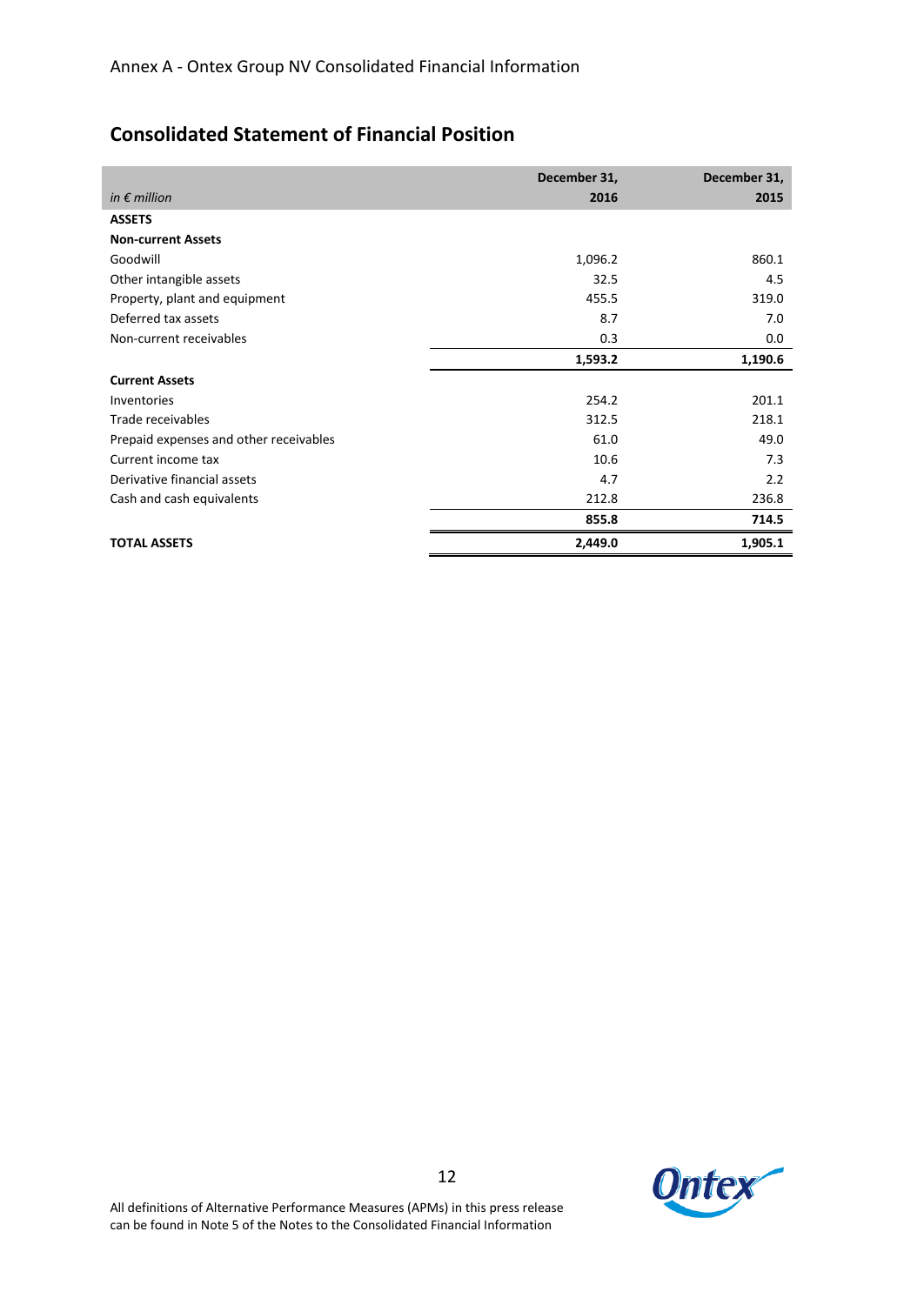# **Consolidated Statement of Financial Position**

|                                        | December 31, | December 31, |
|----------------------------------------|--------------|--------------|
| in $\epsilon$ million                  | 2016         | 2015         |
| <b>ASSETS</b>                          |              |              |
| <b>Non-current Assets</b>              |              |              |
| Goodwill                               | 1,096.2      | 860.1        |
| Other intangible assets                | 32.5         | 4.5          |
| Property, plant and equipment          | 455.5        | 319.0        |
| Deferred tax assets                    | 8.7          | 7.0          |
| Non-current receivables                | 0.3          | 0.0          |
|                                        | 1,593.2      | 1,190.6      |
| <b>Current Assets</b>                  |              |              |
| Inventories                            | 254.2        | 201.1        |
| Trade receivables                      | 312.5        | 218.1        |
| Prepaid expenses and other receivables | 61.0         | 49.0         |
| Current income tax                     | 10.6         | 7.3          |
| Derivative financial assets            | 4.7          | 2.2          |
| Cash and cash equivalents              | 212.8        | 236.8        |
|                                        | 855.8        | 714.5        |
| <b>TOTAL ASSETS</b>                    | 2,449.0      | 1,905.1      |

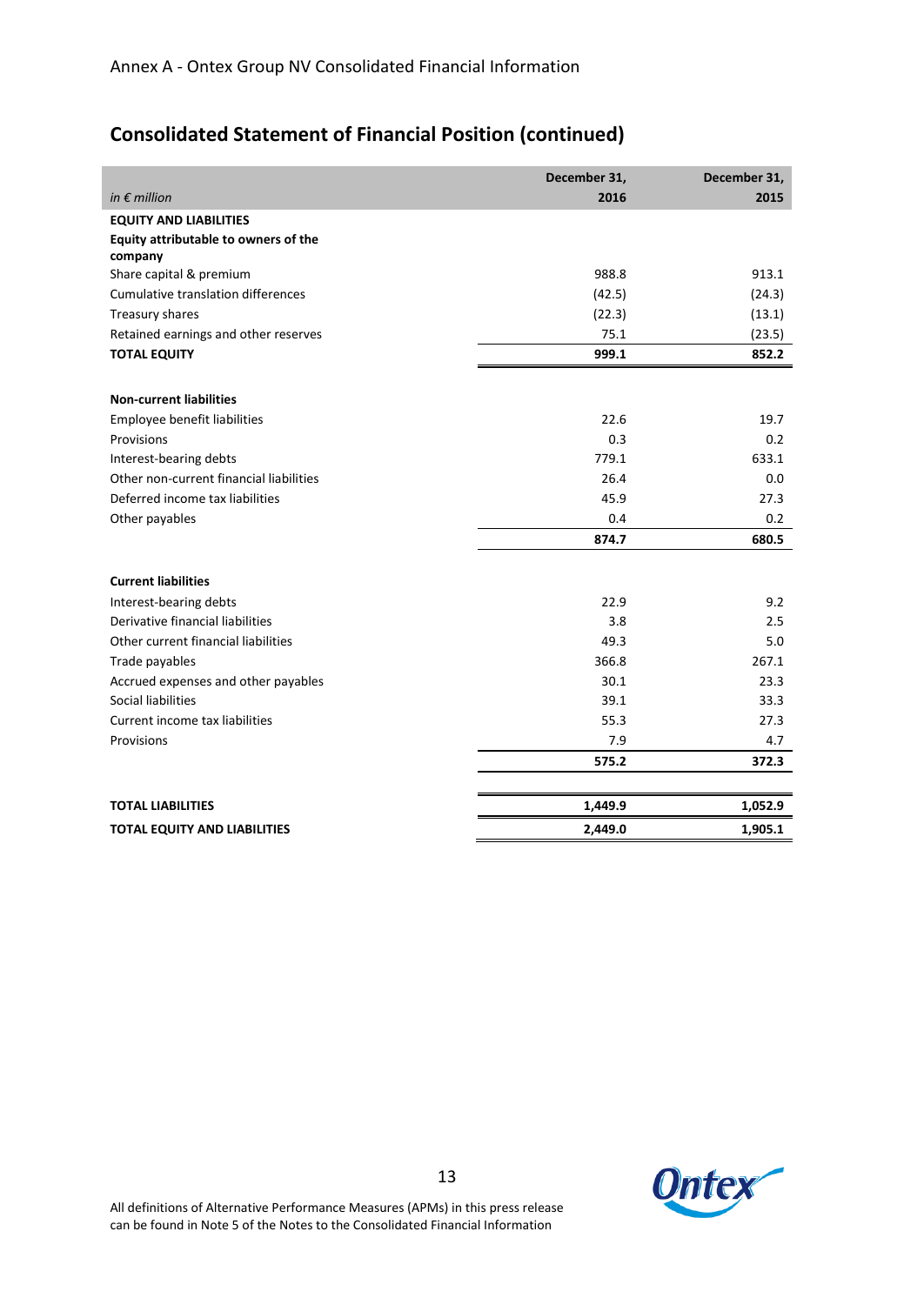# **Consolidated Statement of Financial Position (continued)**

|                                           | December 31, | December 31, |
|-------------------------------------------|--------------|--------------|
| in $\epsilon$ million                     | 2016         | 2015         |
| <b>EQUITY AND LIABILITIES</b>             |              |              |
| Equity attributable to owners of the      |              |              |
| company                                   |              |              |
| Share capital & premium                   | 988.8        | 913.1        |
| <b>Cumulative translation differences</b> | (42.5)       | (24.3)       |
| Treasury shares                           | (22.3)       | (13.1)       |
| Retained earnings and other reserves      | 75.1         | (23.5)       |
| <b>TOTAL EQUITY</b>                       | 999.1        | 852.2        |
|                                           |              |              |
| <b>Non-current liabilities</b>            |              |              |
| Employee benefit liabilities              | 22.6         | 19.7         |
| Provisions                                | 0.3          | 0.2          |
| Interest-bearing debts                    | 779.1        | 633.1        |
| Other non-current financial liabilities   | 26.4         | 0.0          |
| Deferred income tax liabilities           | 45.9         | 27.3         |
| Other payables                            | 0.4          | 0.2          |
|                                           | 874.7        | 680.5        |
| <b>Current liabilities</b>                |              |              |
| Interest-bearing debts                    | 22.9         | 9.2          |
| Derivative financial liabilities          | 3.8          | 2.5          |
| Other current financial liabilities       | 49.3         | 5.0          |
| Trade payables                            | 366.8        | 267.1        |
| Accrued expenses and other payables       | 30.1         | 23.3         |
| Social liabilities                        | 39.1         | 33.3         |
| Current income tax liabilities            | 55.3         | 27.3         |
| Provisions                                | 7.9          | 4.7          |
|                                           | 575.2        | 372.3        |
|                                           |              |              |
| <b>TOTAL LIABILITIES</b>                  | 1,449.9      | 1,052.9      |
| <b>TOTAL EQUITY AND LIABILITIES</b>       | 2,449.0      | 1,905.1      |

**Ontex**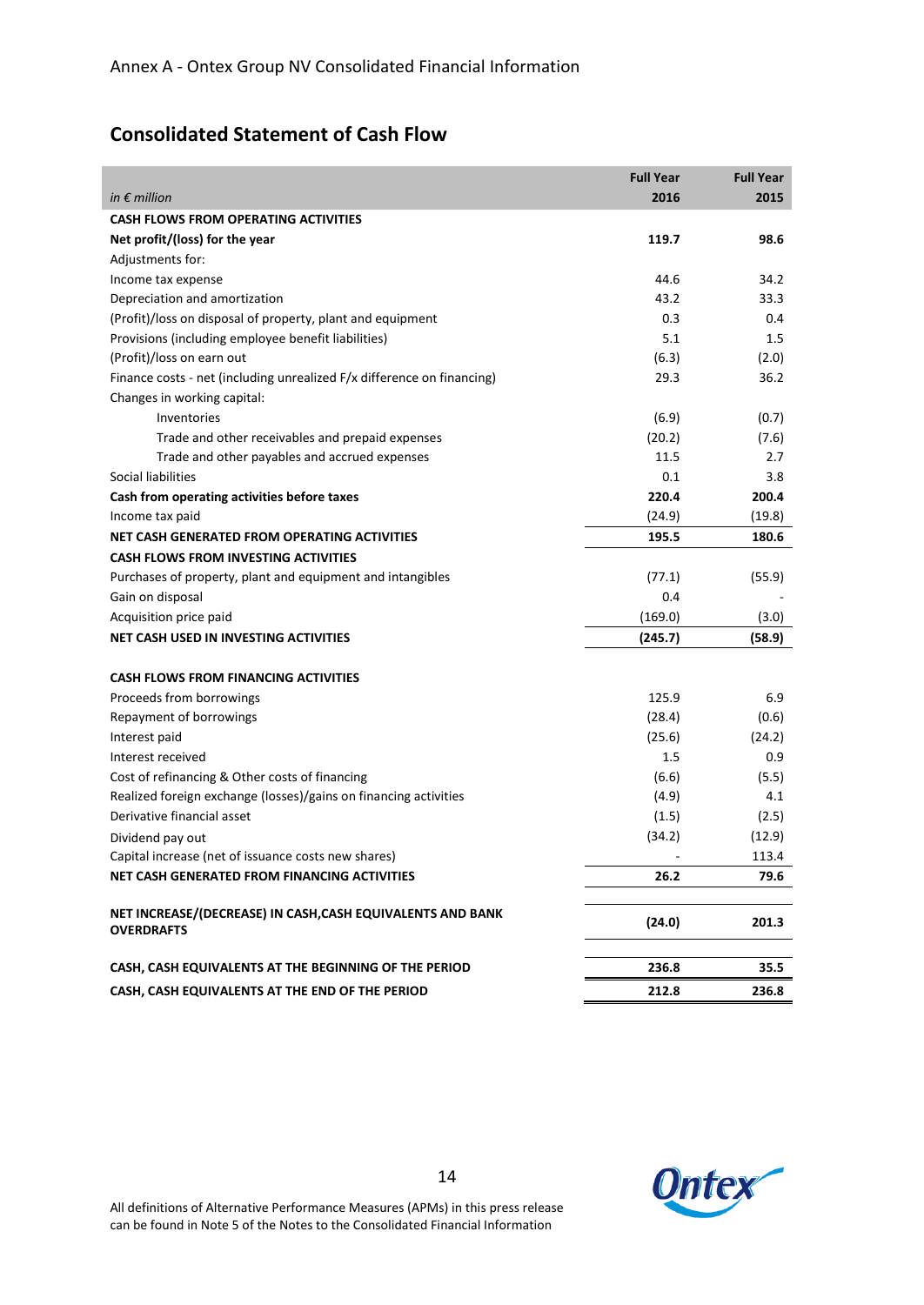# **Consolidated Statement of Cash Flow**

|                                                                                 | <b>Full Year</b> | <b>Full Year</b> |
|---------------------------------------------------------------------------------|------------------|------------------|
| in $\epsilon$ million                                                           | 2016             | 2015             |
| <b>CASH FLOWS FROM OPERATING ACTIVITIES</b>                                     |                  |                  |
| Net profit/(loss) for the year                                                  | 119.7            | 98.6             |
| Adjustments for:                                                                |                  |                  |
| Income tax expense                                                              | 44.6             | 34.2             |
| Depreciation and amortization                                                   | 43.2             | 33.3             |
| (Profit)/loss on disposal of property, plant and equipment                      | 0.3              | 0.4              |
| Provisions (including employee benefit liabilities)                             | 5.1              | 1.5              |
| (Profit)/loss on earn out                                                       | (6.3)            | (2.0)            |
| Finance costs - net (including unrealized F/x difference on financing)          | 29.3             | 36.2             |
| Changes in working capital:                                                     |                  |                  |
| Inventories                                                                     | (6.9)            | (0.7)            |
| Trade and other receivables and prepaid expenses                                | (20.2)           | (7.6)            |
| Trade and other payables and accrued expenses                                   | 11.5             | 2.7              |
| Social liabilities                                                              | 0.1              | 3.8              |
| Cash from operating activities before taxes                                     | 220.4            | 200.4            |
| Income tax paid                                                                 | (24.9)           | (19.8)           |
| NET CASH GENERATED FROM OPERATING ACTIVITIES                                    | 195.5            | 180.6            |
| <b>CASH FLOWS FROM INVESTING ACTIVITIES</b>                                     |                  |                  |
| Purchases of property, plant and equipment and intangibles                      | (77.1)           | (55.9)           |
| Gain on disposal                                                                | 0.4              |                  |
| Acquisition price paid                                                          | (169.0)          | (3.0)            |
| NET CASH USED IN INVESTING ACTIVITIES                                           | (245.7)          | (58.9)           |
| <b>CASH FLOWS FROM FINANCING ACTIVITIES</b>                                     |                  |                  |
| Proceeds from borrowings                                                        | 125.9            | 6.9              |
| Repayment of borrowings                                                         | (28.4)           | (0.6)            |
| Interest paid                                                                   | (25.6)           | (24.2)           |
| Interest received                                                               | 1.5              | 0.9              |
| Cost of refinancing & Other costs of financing                                  | (6.6)            | (5.5)            |
| Realized foreign exchange (losses)/gains on financing activities                | (4.9)            | 4.1              |
| Derivative financial asset                                                      | (1.5)            | (2.5)            |
| Dividend pay out                                                                | (34.2)           | (12.9)           |
| Capital increase (net of issuance costs new shares)                             |                  | 113.4            |
| NET CASH GENERATED FROM FINANCING ACTIVITIES                                    | 26.2             | 79.6             |
|                                                                                 |                  |                  |
| NET INCREASE/(DECREASE) IN CASH, CASH EQUIVALENTS AND BANK<br><b>OVERDRAFTS</b> | (24.0)           | 201.3            |
| CASH, CASH EQUIVALENTS AT THE BEGINNING OF THE PERIOD                           | 236.8            | 35.5             |
| CASH, CASH EQUIVALENTS AT THE END OF THE PERIOD                                 | 212.8            | 236.8            |

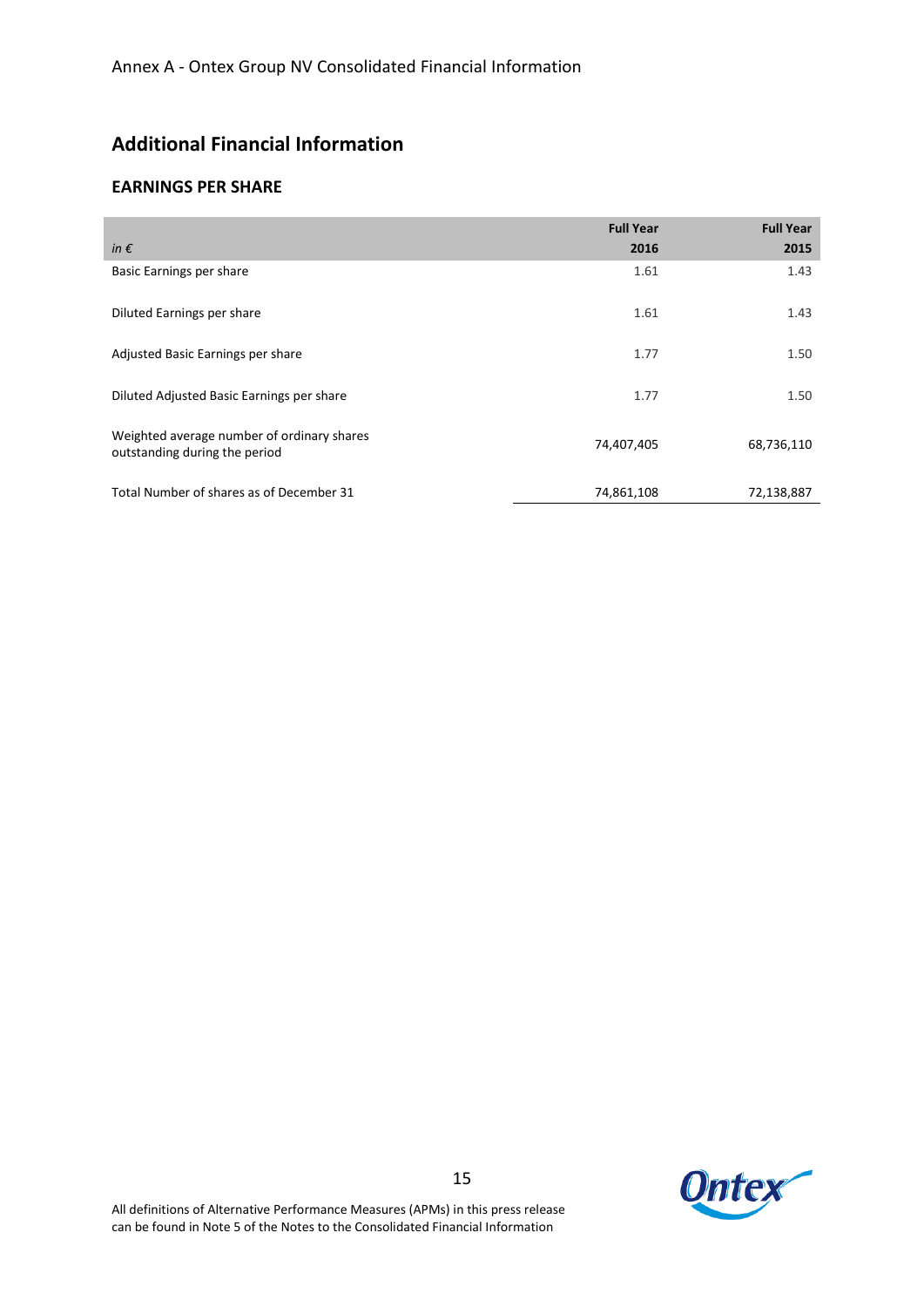# **Additional Financial Information**

## **EARNINGS PER SHARE**

| in $\epsilon$                                                               | <b>Full Year</b><br>2016 | <b>Full Year</b><br>2015 |
|-----------------------------------------------------------------------------|--------------------------|--------------------------|
| Basic Earnings per share                                                    | 1.61                     | 1.43                     |
| Diluted Earnings per share                                                  | 1.61                     | 1.43                     |
| Adjusted Basic Earnings per share                                           | 1.77                     | 1.50                     |
| Diluted Adjusted Basic Earnings per share                                   | 1.77                     | 1.50                     |
| Weighted average number of ordinary shares<br>outstanding during the period | 74,407,405               | 68,736,110               |
| Total Number of shares as of December 31                                    | 74,861,108               | 72,138,887               |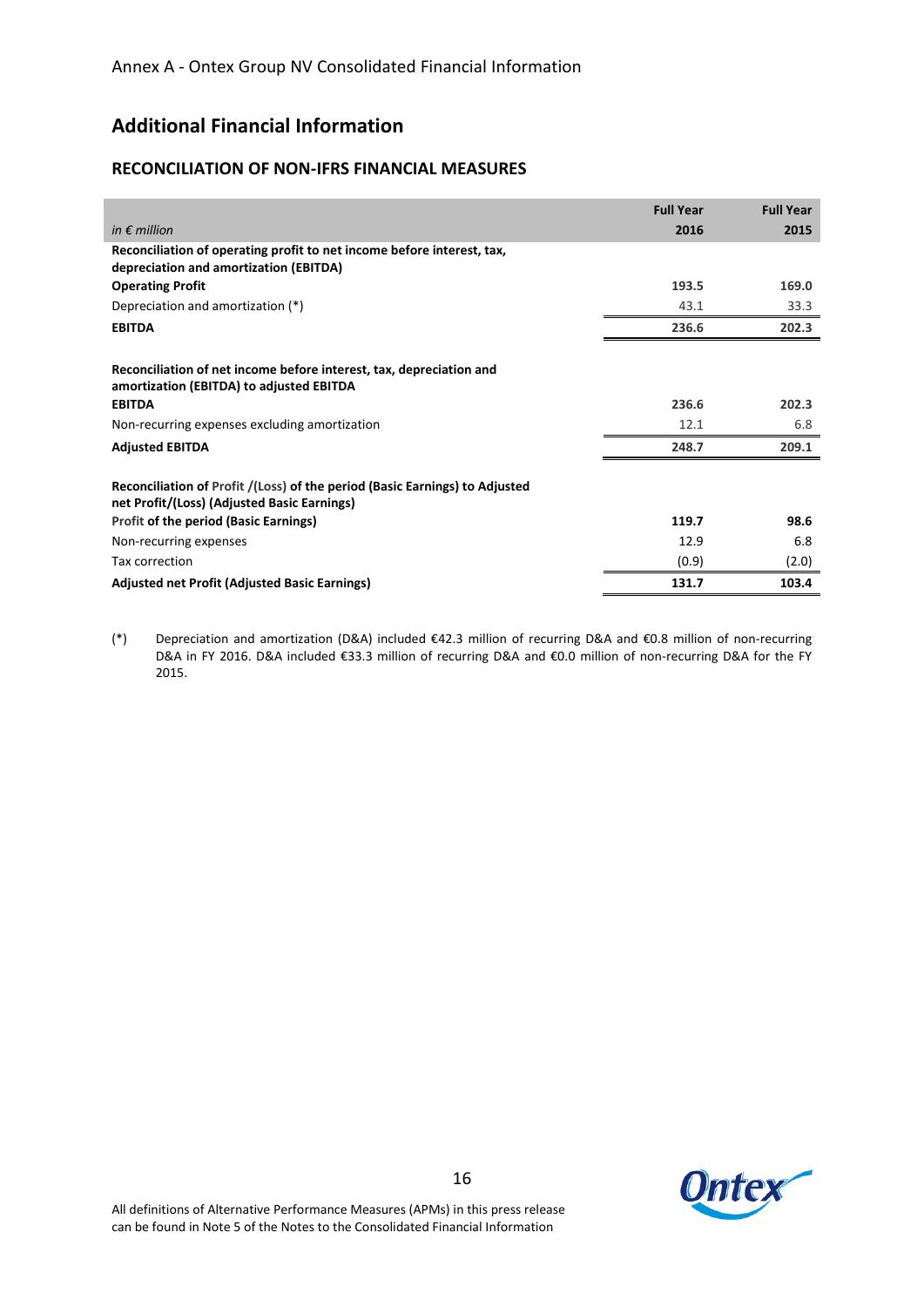# **Additional Financial Information**

## **RECONCILIATION OF NON-IFRS FINANCIAL MEASURES**

|                                                                                                                            | <b>Full Year</b> | <b>Full Year</b> |
|----------------------------------------------------------------------------------------------------------------------------|------------------|------------------|
| in $\epsilon$ million                                                                                                      | 2016             | 2015             |
| Reconciliation of operating profit to net income before interest, tax,<br>depreciation and amortization (EBITDA)           |                  |                  |
| <b>Operating Profit</b>                                                                                                    | 193.5            | 169.0            |
| Depreciation and amortization (*)                                                                                          | 43.1             | 33.3             |
| <b>EBITDA</b>                                                                                                              | 236.6            | 202.3            |
| Reconciliation of net income before interest, tax, depreciation and<br>amortization (EBITDA) to adjusted EBITDA            |                  |                  |
| <b>EBITDA</b>                                                                                                              | 236.6            | 202.3            |
| Non-recurring expenses excluding amortization                                                                              | 12.1             | 6.8              |
| <b>Adjusted EBITDA</b>                                                                                                     | 248.7            | 209.1            |
| Reconciliation of Profit /(Loss) of the period (Basic Earnings) to Adjusted<br>net Profit/(Loss) (Adjusted Basic Earnings) |                  |                  |
| <b>Profit of the period (Basic Earnings)</b>                                                                               | 119.7            | 98.6             |
| Non-recurring expenses                                                                                                     | 12.9             | 6.8              |
| Tax correction                                                                                                             | (0.9)            | (2.0)            |
| <b>Adjusted net Profit (Adjusted Basic Earnings)</b>                                                                       | 131.7            | 103.4            |

(\*) Depreciation and amortization (D&A) included €42.3 million of recurring D&A and €0.8 million of non-recurring D&A in FY 2016. D&A included €33.3 million of recurring D&A and €0.0 million of non-recurring D&A for the FY 2015.

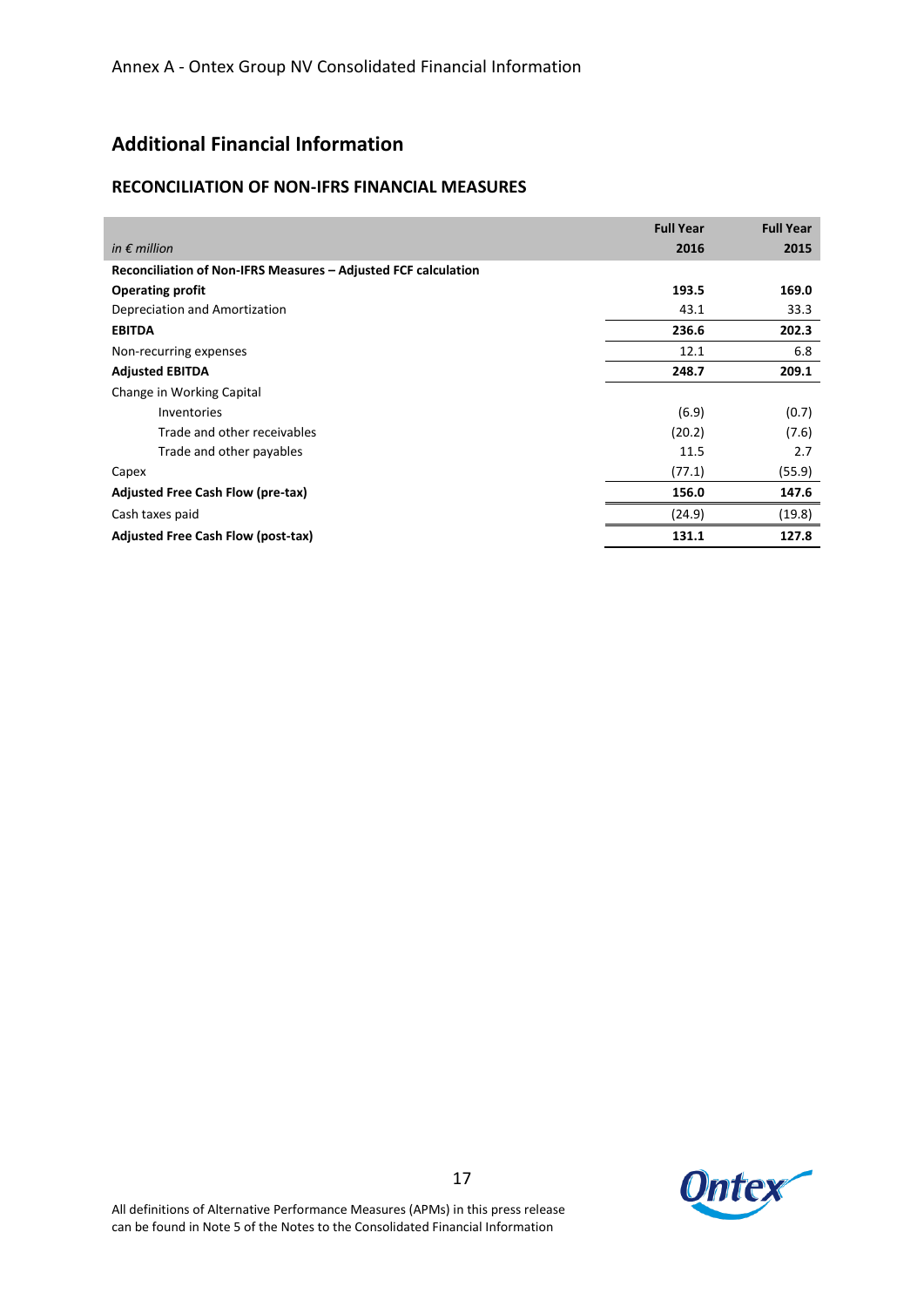# **Additional Financial Information**

## **RECONCILIATION OF NON-IFRS FINANCIAL MEASURES**

|                                                                | <b>Full Year</b> | <b>Full Year</b> |
|----------------------------------------------------------------|------------------|------------------|
| in $\epsilon$ million                                          | 2016             | 2015             |
| Reconciliation of Non-IFRS Measures - Adjusted FCF calculation |                  |                  |
| <b>Operating profit</b>                                        | 193.5            | 169.0            |
| Depreciation and Amortization                                  | 43.1             | 33.3             |
| <b>EBITDA</b>                                                  | 236.6            | 202.3            |
| Non-recurring expenses                                         | 12.1             | 6.8              |
| <b>Adjusted EBITDA</b>                                         | 248.7            | 209.1            |
| Change in Working Capital                                      |                  |                  |
| <b>Inventories</b>                                             | (6.9)            | (0.7)            |
| Trade and other receivables                                    | (20.2)           | (7.6)            |
| Trade and other payables                                       | 11.5             | 2.7              |
| Capex                                                          | (77.1)           | (55.9)           |
| Adjusted Free Cash Flow (pre-tax)                              | 156.0            | 147.6            |
| Cash taxes paid                                                | (24.9)           | (19.8)           |
| <b>Adjusted Free Cash Flow (post-tax)</b>                      | 131.1            | 127.8            |

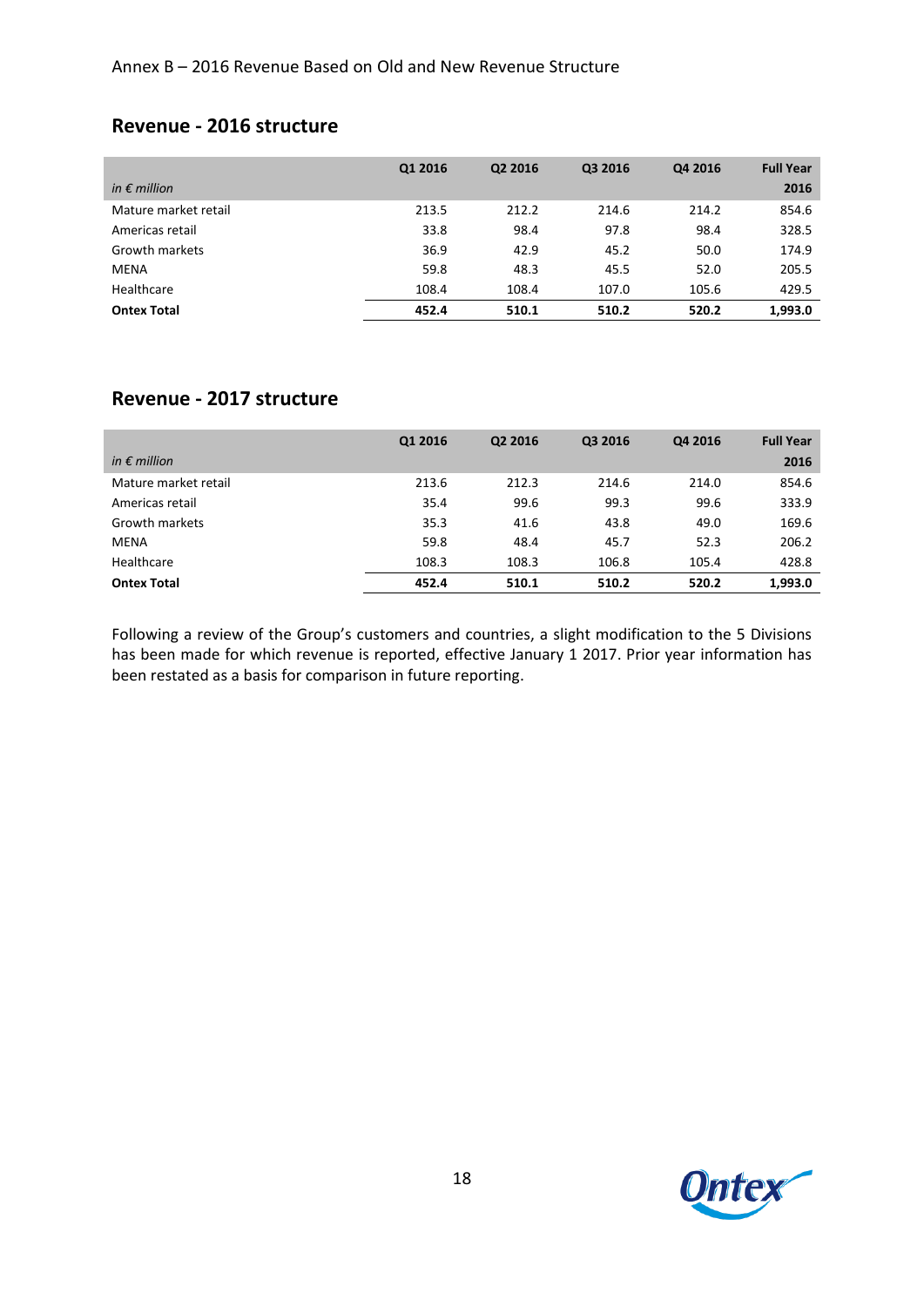# **Revenue - 2016 structure**

|                       | Q1 2016 | Q2 2016 | Q3 2016 | Q4 2016 | <b>Full Year</b> |
|-----------------------|---------|---------|---------|---------|------------------|
| in $\epsilon$ million |         |         |         |         | 2016             |
| Mature market retail  | 213.5   | 212.2   | 214.6   | 214.2   | 854.6            |
| Americas retail       | 33.8    | 98.4    | 97.8    | 98.4    | 328.5            |
| Growth markets        | 36.9    | 42.9    | 45.2    | 50.0    | 174.9            |
| <b>MENA</b>           | 59.8    | 48.3    | 45.5    | 52.0    | 205.5            |
| Healthcare            | 108.4   | 108.4   | 107.0   | 105.6   | 429.5            |
| <b>Ontex Total</b>    | 452.4   | 510.1   | 510.2   | 520.2   | 1,993.0          |

# **Revenue - 2017 structure**

|                       | Q1 2016 | Q2 2016 | Q3 2016 | Q4 2016 | <b>Full Year</b> |
|-----------------------|---------|---------|---------|---------|------------------|
| in $\epsilon$ million |         |         |         |         | 2016             |
| Mature market retail  | 213.6   | 212.3   | 214.6   | 214.0   | 854.6            |
| Americas retail       | 35.4    | 99.6    | 99.3    | 99.6    | 333.9            |
| Growth markets        | 35.3    | 41.6    | 43.8    | 49.0    | 169.6            |
| <b>MENA</b>           | 59.8    | 48.4    | 45.7    | 52.3    | 206.2            |
| Healthcare            | 108.3   | 108.3   | 106.8   | 105.4   | 428.8            |
| <b>Ontex Total</b>    | 452.4   | 510.1   | 510.2   | 520.2   | 1,993.0          |

Following a review of the Group's customers and countries, a slight modification to the 5 Divisions has been made for which revenue is reported, effective January 1 2017. Prior year information has been restated as a basis for comparison in future reporting.